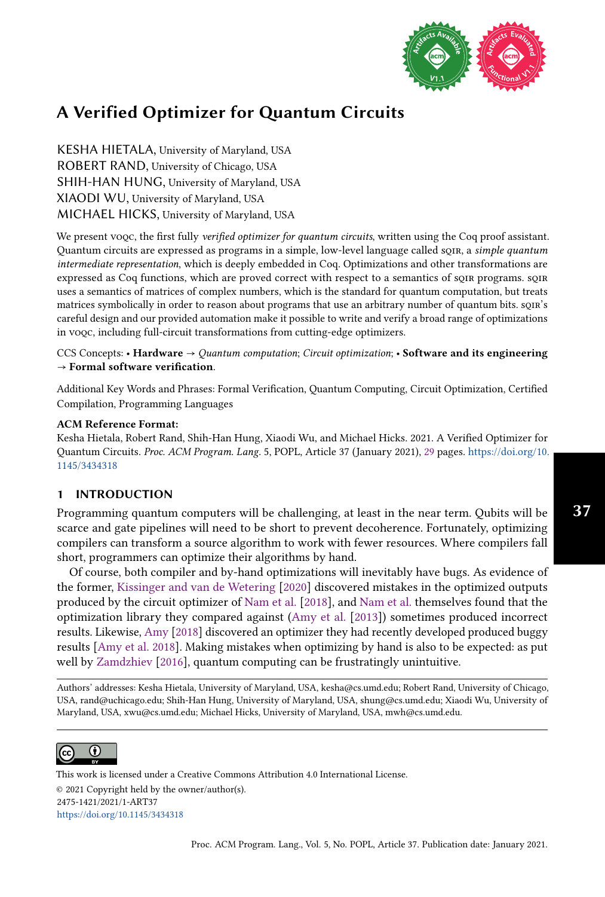

KESHA HIETALA, University of Maryland, USA ROBERT RAND, University of Chicago, USA SHIH-HAN HUNG, University of Maryland, USA XIAODI WU, University of Maryland, USA MICHAEL HICKS, University of Maryland, USA

We present voqc, the first fully verified optimizer for quantum circuits, written using the Coq proof assistant. Quantum circuits are expressed as programs in a simple, low-level language called soin, a simple quantum intermediate representation, which is deeply embedded in Coq. Optimizations and other transformations are expressed as Coq functions, which are proved correct with respect to a semantics of sqir programs. sqir uses a semantics of matrices of complex numbers, which is the standard for quantum computation, but treats matrices symbolically in order to reason about programs that use an arbitrary number of quantum bits. sqir's careful design and our provided automation make it possible to write and verify a broad range of optimizations in voqc, including full-circuit transformations from cutting-edge optimizers.

CCS Concepts: • Hardware  $\rightarrow$  Quantum computation; Circuit optimization; • Software and its engineering  $\rightarrow$  Formal software verification.

Additional Key Words and Phrases: Formal Verification, Quantum Computing, Circuit Optimization, Certified Compilation, Programming Languages

#### ACM Reference Format:

Kesha Hietala, Robert Rand, Shih-Han Hung, Xiaodi Wu, and Michael Hicks. 2021. A Verified Optimizer for Quantum Circuits. Proc. ACM Program. Lang. 5, POPL, Article 37 (January 2021), [29](#page-28-0) pages. [https://doi.org/10.](https://doi.org/10.1145/3434318) [1145/3434318](https://doi.org/10.1145/3434318)

## 1 INTRODUCTION

Programming quantum computers will be challenging, at least in the near term. Qubits will be scarce and gate pipelines will need to be short to prevent decoherence. Fortunately, optimizing compilers can transform a source algorithm to work with fewer resources. Where compilers fall short, programmers can optimize their algorithms by hand.

Of course, both compiler and by-hand optimizations will inevitably have bugs. As evidence of the former, [Kissinger and van de Wetering](#page-27-0) [\[2020\]](#page-27-0) discovered mistakes in the optimized outputs produced by the circuit optimizer of [Nam et al.](#page-27-1) [\[2018\]](#page-27-1), and [Nam et al.](#page-27-1) themselves found that the optimization library they compared against [\(Amy et al.](#page-26-0) [\[2013\]](#page-26-0)) sometimes produced incorrect results. Likewise, [Amy](#page-26-1) [\[2018\]](#page-26-1) discovered an optimizer they had recently developed produced buggy results [\[Amy et al.](#page-26-2) [2018\]](#page-26-2). Making mistakes when optimizing by hand is also to be expected: as put well by [Zamdzhiev](#page-28-1) [\[2016\]](#page-28-1), quantum computing can be frustratingly unintuitive.

Authors' addresses: Kesha Hietala, University of Maryland, USA, kesha@cs.umd.edu; Robert Rand, University of Chicago, USA, rand@uchicago.edu; Shih-Han Hung, University of Maryland, USA, shung@cs.umd.edu; Xiaodi Wu, University of Maryland, USA, xwu@cs.umd.edu; Michael Hicks, University of Maryland, USA, mwh@cs.umd.edu.



This work is licensed under a Creative Commons Attribution 4.0 International License. © 2021 Copyright held by the owner/author(s). 2475-1421/2021/1-ART37 <https://doi.org/10.1145/3434318>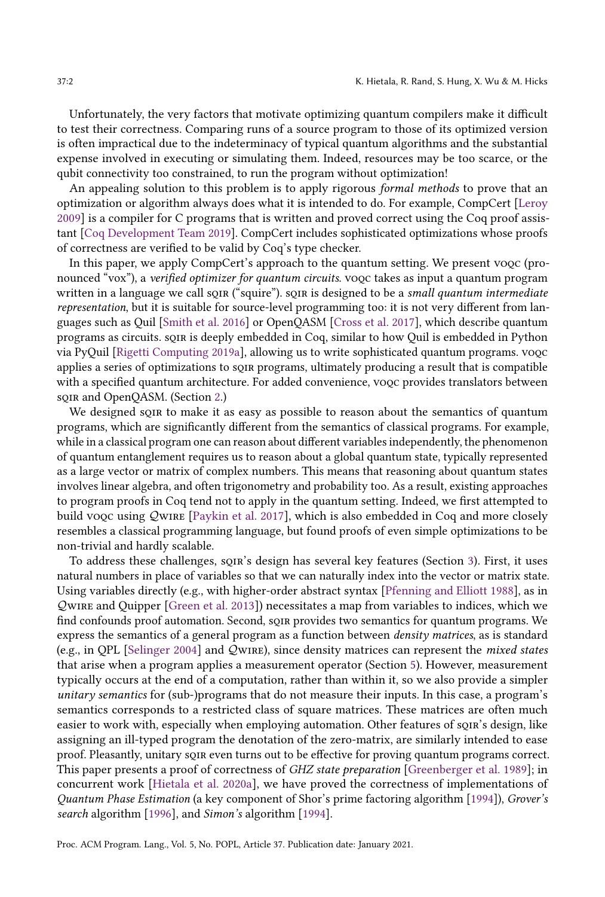Unfortunately, the very factors that motivate optimizing quantum compilers make it difficult to test their correctness. Comparing runs of a source program to those of its optimized version is often impractical due to the indeterminacy of typical quantum algorithms and the substantial expense involved in executing or simulating them. Indeed, resources may be too scarce, or the qubit connectivity too constrained, to run the program without optimization!

An appealing solution to this problem is to apply rigorous formal methods to prove that an optimization or algorithm always does what it is intended to do. For example, CompCert [\[Leroy](#page-27-2) [2009\]](#page-27-2) is a compiler for C programs that is written and proved correct using the Coq proof assistant [\[Coq Development Team 2019\]](#page-26-3). CompCert includes sophisticated optimizations whose proofs of correctness are verified to be valid by Coq's type checker.

In this paper, we apply CompCert's approach to the quantum setting. We present voqc (pronounced "vox"), a *verified optimizer for quantum circuits*. vo*qc* takes as input a quantum program written in a language we call son ("squire"). son is designed to be a small quantum intermediate representation, but it is suitable for source-level programming too: it is not very different from languages such as Quil [\[Smith et al.](#page-28-2) [2016\]](#page-28-2) or OpenQASM [\[Cross et al.](#page-26-4) [2017\]](#page-26-4), which describe quantum programs as circuits. soin is deeply embedded in Coq, similar to how Quil is embedded in Python via PyQuil [\[Rigetti Computing 2019a\]](#page-28-3), allowing us to write sophisticated quantum programs. voqc applies a series of optimizations to sqir programs, ultimately producing a result that is compatible with a specified quantum architecture. For added convenience, voqc provides translators between sqir and OpenQASM. (Section [2.](#page-2-0))

We designed soin to make it as easy as possible to reason about the semantics of quantum programs, which are significantly different from the semantics of classical programs. For example, while in a classical program one can reason about different variables independently, the phenomenon of quantum entanglement requires us to reason about a global quantum state, typically represented as a large vector or matrix of complex numbers. This means that reasoning about quantum states involves linear algebra, and often trigonometry and probability too. As a result, existing approaches to program proofs in Coq tend not to apply in the quantum setting. Indeed, we first attempted to build vooc using QwIRE [\[Paykin et al.](#page-27-3) [2017\]](#page-27-3), which is also embedded in Coq and more closely resembles a classical programming language, but found proofs of even simple optimizations to be non-trivial and hardly scalable.

To address these challenges, soin's design has several key features (Section [3\)](#page-6-0). First, it uses natural numbers in place of variables so that we can naturally index into the vector or matrix state. Using variables directly (e.g., with higher-order abstract syntax [\[Pfenning and Elliott 1988\]](#page-27-4), as in wire and Quipper [\[Green et al.](#page-27-5) [2013\]](#page-27-5)) necessitates a map from variables to indices, which we find confounds proof automation. Second, sqir provides two semantics for quantum programs. We express the semantics of a general program as a function between density matrices, as is standard (e.g., in OPL [\[Selinger 2004\]](#page-28-4) and  $Q$ wire), since density matrices can represent the *mixed states* that arise when a program applies a measurement operator (Section [5\)](#page-16-0). However, measurement typically occurs at the end of a computation, rather than within it, so we also provide a simpler unitary semantics for (sub-)programs that do not measure their inputs. In this case, a program's semantics corresponds to a restricted class of square matrices. These matrices are often much easier to work with, especially when employing automation. Other features of sqir's design, like assigning an ill-typed program the denotation of the zero-matrix, are similarly intended to ease proof. Pleasantly, unitary sqir even turns out to be effective for proving quantum programs correct. This paper presents a proof of correctness of GHZ state preparation [\[Greenberger et al.](#page-27-6) [1989\]](#page-27-6); in concurrent work [\[Hietala et al.](#page-27-7) [2020a\]](#page-27-7), we have proved the correctness of implementations of Quantum Phase Estimation (a key component of Shor's prime factoring algorithm [\[1994\]](#page-28-5)), Grover's search algorithm [\[1996\]](#page-27-8), and Simon's algorithm [\[1994\]](#page-28-6).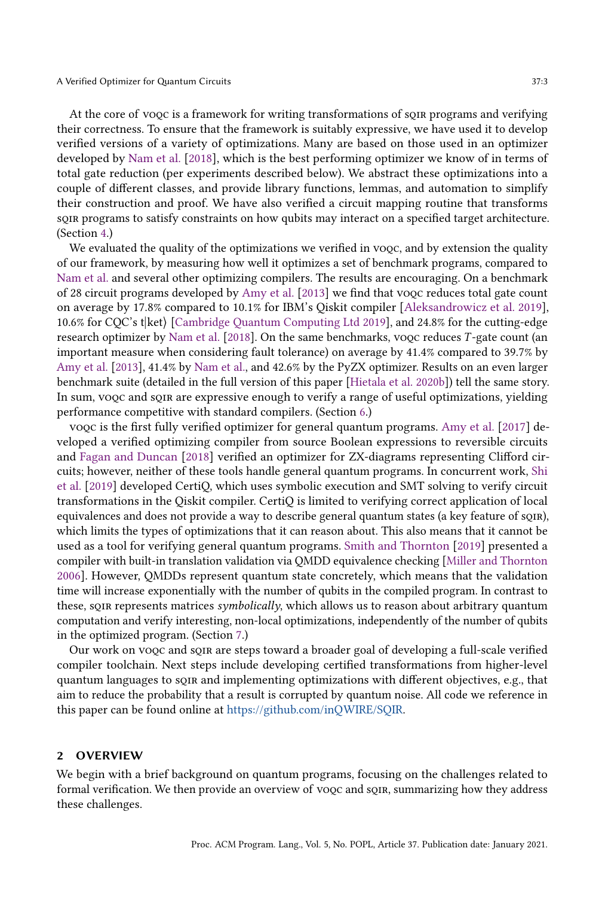At the core of voqc is a framework for writing transformations of sqir programs and verifying their correctness. To ensure that the framework is suitably expressive, we have used it to develop verified versions of a variety of optimizations. Many are based on those used in an optimizer developed by [Nam et al.](#page-27-1) [\[2018\]](#page-27-1), which is the best performing optimizer we know of in terms of total gate reduction (per experiments described below). We abstract these optimizations into a couple of different classes, and provide library functions, lemmas, and automation to simplify their construction and proof. We have also verified a circuit mapping routine that transforms sqir programs to satisfy constraints on how qubits may interact on a specified target architecture. (Section [4.](#page-10-0))

We evaluated the quality of the optimizations we verified in voqc, and by extension the quality of our framework, by measuring how well it optimizes a set of benchmark programs, compared to [Nam et al.](#page-27-1) and several other optimizing compilers. The results are encouraging. On a benchmark of 28 circuit programs developed by [Amy et al.](#page-26-0) [\[2013\]](#page-26-0) we find that voqc reduces total gate count on average by 17.8% compared to 10.1% for IBM's Qiskit compiler [\[Aleksandrowicz et al.](#page-26-5) [2019\]](#page-26-5), 10.6% for CQC's t|ket} [\[Cambridge Quantum Computing Ltd 2019\]](#page-26-6), and 24.8% for the cutting-edge research optimizer by [Nam et al.](#page-27-1) [\[2018\]](#page-27-1). On the same benchmarks, vooc reduces T-gate count (an important measure when considering fault tolerance) on average by 41.4% compared to 39.7% by [Amy et al.](#page-26-0) [\[2013\]](#page-26-0), 41.4% by [Nam et al.,](#page-27-1) and 42.6% by the PyZX optimizer. Results on an even larger benchmark suite (detailed in the full version of this paper [\[Hietala et al.](#page-27-9) [2020b\]](#page-27-9)) tell the same story. In sum, vooc and soin are expressive enough to verify a range of useful optimizations, yielding performance competitive with standard compilers. (Section [6.](#page-19-0))

voqc is the first fully verified optimizer for general quantum programs. [Amy et al.](#page-26-7) [\[2017\]](#page-26-7) developed a verified optimizing compiler from source Boolean expressions to reversible circuits and [Fagan and Duncan](#page-26-8) [\[2018\]](#page-26-8) verified an optimizer for ZX-diagrams representing Clifford circuits; however, neither of these tools handle general quantum programs. In concurrent work, [Shi](#page-28-7) [et al.](#page-28-7) [\[2019\]](#page-28-7) developed CertiQ, which uses symbolic execution and SMT solving to verify circuit transformations in the Qiskit compiler. CertiQ is limited to verifying correct application of local equivalences and does not provide a way to describe general quantum states (a key feature of sqir), which limits the types of optimizations that it can reason about. This also means that it cannot be used as a tool for verifying general quantum programs. [Smith and Thornton](#page-28-8) [\[2019\]](#page-28-8) presented a compiler with built-in translation validation via QMDD equivalence checking [\[Miller and Thornton](#page-27-10) [2006\]](#page-27-10). However, QMDDs represent quantum state concretely, which means that the validation time will increase exponentially with the number of qubits in the compiled program. In contrast to these, sork represents matrices symbolically, which allows us to reason about arbitrary quantum computation and verify interesting, non-local optimizations, independently of the number of qubits in the optimized program. (Section [7.](#page-23-0))

Our work on voqc and sqir are steps toward a broader goal of developing a full-scale verified compiler toolchain. Next steps include developing certified transformations from higher-level quantum languages to sqir and implementing optimizations with different objectives, e.g., that aim to reduce the probability that a result is corrupted by quantum noise. All code we reference in this paper can be found online at [https://github.com/inQWIRE/SQIR.](https://github.com/inQWIRE/SQIR)

#### <span id="page-2-0"></span>2 OVERVIEW

We begin with a brief background on quantum programs, focusing on the challenges related to formal verification. We then provide an overview of voqc and sqir, summarizing how they address these challenges.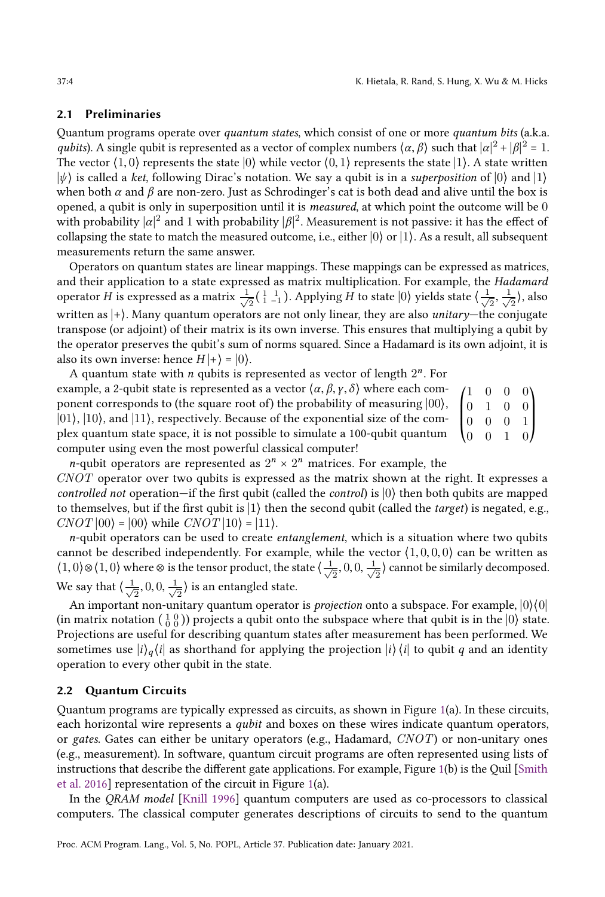## <span id="page-3-0"></span>2.1 Preliminaries

Quantum programs operate over quantum states, which consist of one or more quantum bits (a.k.a. qubits). A single qubit is represented as a vector of complex numbers  $\langle \alpha, \beta \rangle$  such that  $|\alpha|^2 + |\beta|^2 = 1$ . The vector  $\langle 1, 0 \rangle$  represents the state  $\langle 0 \rangle$  while vector  $\langle 0, 1 \rangle$  represents the state  $\langle 1 \rangle$ . A state written  $|\psi\rangle$  is called a ket, following Dirac's notation. We say a qubit is in a superposition of  $|0\rangle$  and  $|1\rangle$ when both  $\alpha$  and  $\beta$  are non-zero. Just as Schrodinger's cat is both dead and alive until the box is opened, a qubit is only in superposition until it is *measured*, at which point the outcome will be  $0$ with probability  $|\alpha|^2$  and 1 with probability  $|\beta|^2$ . Measurement is not passive: it has the effect of collapsing the state to match the measured outcome, i.e., either  $|0\rangle$  or  $|1\rangle$ . As a result, all subsequent measurements return the same answer.

Operators on quantum states are linear mappings. These mappings can be expressed as matrices, and their application to a state expressed as matrix multiplication. For example, the Hadamard operator H is expressed as a matrix  $\frac{1}{\sqrt{2}}$  $\frac{1}{2}$ ( $\frac{1}{1}$  $\frac{1}{-1}$ ). Applying H to state  $|0\rangle$  yields state  $\langle \frac{1}{\sqrt{2}} \rangle$  $\frac{1}{2}, \frac{1}{\sqrt{2}}$  $\frac{1}{2}$ ), also written as  $|+\rangle$ . Many quantum operators are not only linear, they are also *unitary*—the conjugate transpose (or adjoint) of their matrix is its own inverse. This ensures that multiplying a qubit by the operator preserves the qubit's sum of norms squared. Since a Hadamard is its own adjoint, it is also its own inverse: hence  $H|+\rangle = |0\rangle$ .

 $\begin{pmatrix} 1 & 0 & 0 & 0 \\ 0 & 1 & 0 & 0 \end{pmatrix}$  $\begin{bmatrix} 0 & 1 & 0 & 0 \\ 0 & 0 & 0 & 1 \end{bmatrix}$ ⎝  $0 \quad 0$ 0 0 1 0  $\theta$  $\begin{matrix} 0 \\ 1 \end{matrix}$  $\mathbf l$  $\mathbf l$ ⎠ A quantum state with  $n$  qubits is represented as vector of length  $2<sup>n</sup>$ . For example, a 2-qubit state is represented as a vector  $\langle \alpha, \beta, \gamma, \delta \rangle$  where each component corresponds to (the square root of) the probability of measuring  $|00\rangle$ ,  $|01\rangle$ ,  $|10\rangle$ , and  $|11\rangle$ , respectively. Because of the exponential size of the complex quantum state space, it is not possible to simulate a 100-qubit quantum computer using even the most powerful classical computer!

*n*-qubit operators are represented as  $2^n \times 2^n$  matrices. For example, the CNOT operator over two qubits is expressed as the matrix shown at the right. It expresses a controlled not operation—if the first qubit (called the *control*) is  $|0\rangle$  then both qubits are mapped to themselves, but if the first qubit is  $|1\rangle$  then the second qubit (called the *target*) is negated, e.g.,  $CNOT |00\rangle = |00\rangle$  while  $CNOT |10\rangle = |11\rangle$ .

 $n$ -qubit operators can be used to create *entanglement*, which is a situation where two qubits cannot be described independently. For example, while the vector  $\langle 1, 0, 0, 0 \rangle$  can be written as  $\langle 1, 0 \rangle \otimes \langle 1, 0 \rangle$  where  $\otimes$  is the tensor product, the state  $\langle \frac{1}{\sqrt{2}} \rangle$  $\frac{1}{2}$ , 0, 0,  $\frac{1}{\sqrt{2}}$  $\frac{1}{2}$  cannot be similarly decomposed. We say that  $\langle \frac{1}{\sqrt{2}} \rangle$  $\frac{1}{2}$ , 0, 0,  $\frac{1}{\sqrt{2}}$  $\frac{1}{2}$ ) is an entangled state.

An important non-unitary quantum operator is *projection* onto a subspace. For example,  $|0\rangle\langle0|$ (in matrix notation  $\begin{pmatrix} 1 & 0 \\ 0 & 0 \end{pmatrix}$ ) projects a qubit onto the subspace where that qubit is in the  $\begin{pmatrix} 0 \end{pmatrix}$  state. Projections are useful for describing quantum states after measurement has been performed. We sometimes use  $|i\rangle_q\langle i|$  as shorthand for applying the projection  $|i\rangle\langle i|$  to qubit q and an identity operation to every other qubit in the state.

## 2.2 Quantum Circuits

Quantum programs are typically expressed as circuits, as shown in Figure [1\(](#page-4-0)a). In these circuits, each horizontal wire represents a qubit and boxes on these wires indicate quantum operators, or gates. Gates can either be unitary operators (e.g., Hadamard,  $CNOT$ ) or non-unitary ones (e.g., measurement). In software, quantum circuit programs are often represented using lists of instructions that describe the different gate applications. For example, Figure [1\(](#page-4-0)b) is the Quil [\[Smith](#page-28-2) [et al. 2016\]](#page-28-2) representation of the circuit in Figure [1\(](#page-4-0)a).

In the QRAM model [\[Knill 1996\]](#page-27-11) quantum computers are used as co-processors to classical computers. The classical computer generates descriptions of circuits to send to the quantum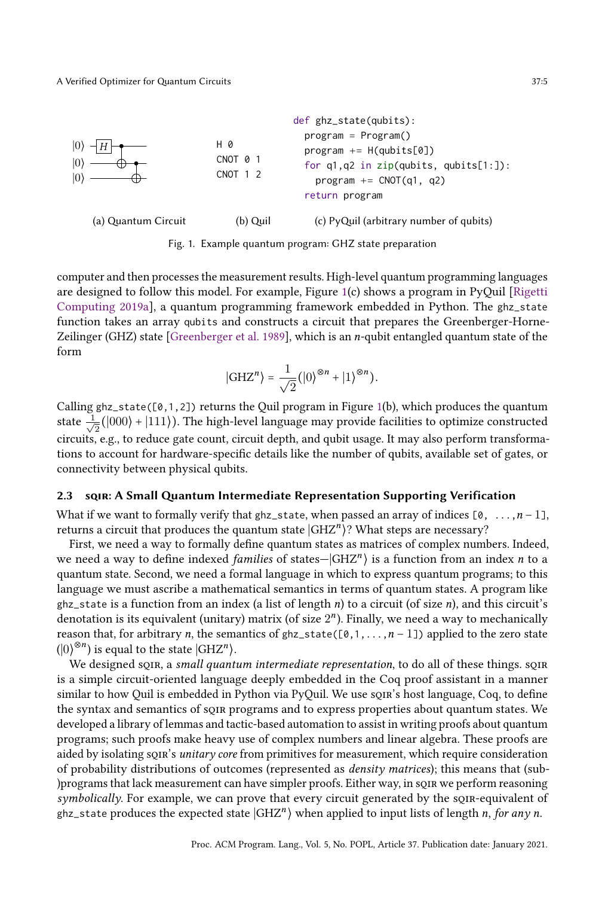<span id="page-4-0"></span>

Fig. 1. Example quantum program: GHZ state preparation

computer and then processes the measurement results. High-level quantum programming languages are designed to follow this model. For example, Figure [1\(](#page-4-0)c) shows a program in PyQuil [\[Rigetti](#page-28-3) [Computing 2019a\]](#page-28-3), a quantum programming framework embedded in Python. The ghz\_state function takes an array qubits and constructs a circuit that prepares the Greenberger-Horne-Zeilinger (GHZ) state [\[Greenberger et al.](#page-27-6) [1989\]](#page-27-6), which is an n-qubit entangled quantum state of the form

$$
|\mathrm{GHZ}^n\rangle=\frac{1}{\sqrt{2}}\big(|0\rangle^{\otimes n}+|1\rangle^{\otimes n}\big).
$$

Calling ghz\_state([0,1,2]) returns the Quil program in Figure [1\(](#page-4-0)b), which produces the quantum state  $\frac{q}{\sqrt{q}}$  $\frac{1}{2}(|000\rangle + |111\rangle).$  The high-level language may provide facilities to optimize constructed circuits, e.g., to reduce gate count, circuit depth, and qubit usage. It may also perform transformations to account for hardware-specific details like the number of qubits, available set of gates, or connectivity between physical qubits.

## 2.3 sqir: A Small Quantum Intermediate Representation Supporting Verification

What if we want to formally verify that ghz\_state, when passed an array of indices  $[0, \ldots, n-1]$ , returns a circuit that produces the quantum state  $\ket{\text{GHZ}^n}$ ? What steps are necessary?

First, we need a way to formally define quantum states as matrices of complex numbers. Indeed, we need a way to define indexed *families* of states $-|\text{GHZ}^n\rangle$  is a function from an index  $n$  to a quantum state. Second, we need a formal language in which to express quantum programs; to this language we must ascribe a mathematical semantics in terms of quantum states. A program like ghz\_state is a function from an index (a list of length n) to a circuit (of size n), and this circuit's denotation is its equivalent (unitary) matrix (of size  $2<sup>n</sup>$ ). Finally, we need a way to mechanically reason that, for arbitrary n, the semantics of  $ghz$ \_state([0,1,...,n - 1]) applied to the zero state  $\left(\left|0\right>^{\otimes n}\right)$  is equal to the state  $\left|{\rm GHZ}^n\right>$ .

We designed son, a small quantum intermediate representation, to do all of these things. son is a simple circuit-oriented language deeply embedded in the Coq proof assistant in a manner similar to how Quil is embedded in Python via PyQuil. We use sqines in language, Coq, to define the syntax and semantics of sqir programs and to express properties about quantum states. We developed a library of lemmas and tactic-based automation to assist in writing proofs about quantum programs; such proofs make heavy use of complex numbers and linear algebra. These proofs are aided by isolating sqir's unitary core from primitives for measurement, which require consideration of probability distributions of outcomes (represented as density matrices); this means that (sub- )programs that lack measurement can have simpler proofs. Either way, in sqir we perform reasoning symbolically. For example, we can prove that every circuit generated by the sqin-equivalent of ghz\_state produces the expected state  $|{\mathrm{GHZ}}^n\rangle$  when applied to input lists of length n, for any n.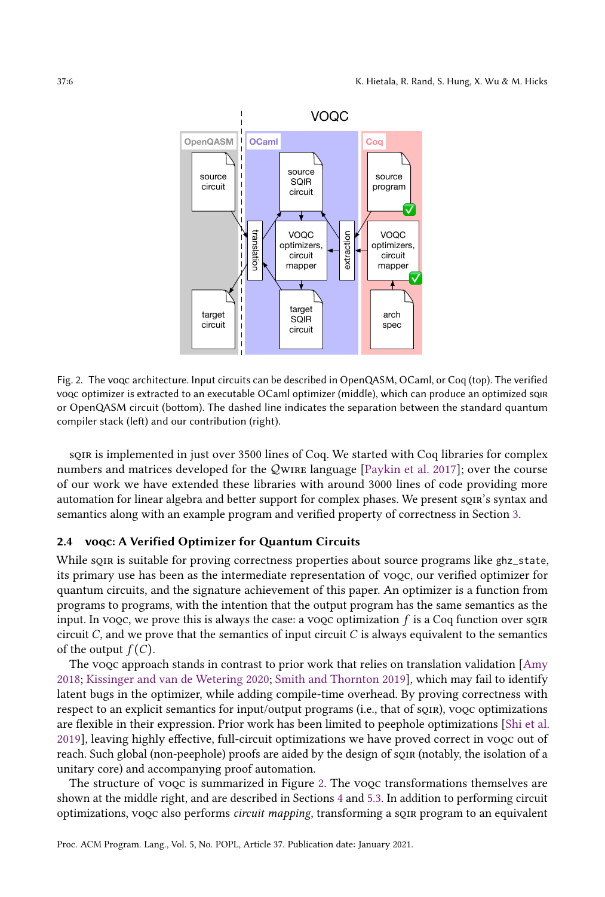<span id="page-5-0"></span>

Fig. 2. The voqc architecture. Input circuits can be described in OpenQASM, OCaml, or Coq (top). The verified voqc optimizer is extracted to an executable OCaml optimizer (middle), which can produce an optimized sqir or OpenQASM circuit (bottom). The dashed line indicates the separation between the standard quantum compiler stack (left) and our contribution (right).

sqir is implemented in just over 3500 lines of Coq. We started with Coq libraries for complex numbers and matrices developed for the QWIRE language [\[Paykin et al.](#page-27-3) [2017\]](#page-27-3); over the course of our work we have extended these libraries with around 3000 lines of code providing more automation for linear algebra and better support for complex phases. We present sqir's syntax and semantics along with an example program and verified property of correctness in Section [3.](#page-6-0)

# 2.4 voqc: A Verified Optimizer for Quantum Circuits

While square is suitable for proving correctness properties about source programs like ghz\_state, its primary use has been as the intermediate representation of voqc, our verified optimizer for quantum circuits, and the signature achievement of this paper. An optimizer is a function from programs to programs, with the intention that the output program has the same semantics as the input. In voqc, we prove this is always the case: a voqc optimization  $f$  is a Coq function over sqn circuit  $C$ , and we prove that the semantics of input circuit  $C$  is always equivalent to the semantics of the output  $f(C)$ .

The vooc approach stands in contrast to prior work that relies on translation validation [\[Amy](#page-26-1)] [2018;](#page-26-1) [Kissinger and van de Wetering 2020;](#page-27-0) [Smith and Thornton 2019\]](#page-28-8), which may fail to identify latent bugs in the optimizer, while adding compile-time overhead. By proving correctness with respect to an explicit semantics for input/output programs (i.e., that of sqir), voqc optimizations are flexible in their expression. Prior work has been limited to peephole optimizations [\[Shi et al.](#page-28-7) [2019\]](#page-28-7), leaving highly effective, full-circuit optimizations we have proved correct in voqc out of reach. Such global (non-peephole) proofs are aided by the design of sqir (notably, the isolation of a unitary core) and accompanying proof automation.

The structure of voqc is summarized in Figure [2.](#page-5-0) The voqc transformations themselves are shown at the middle right, and are described in Sections [4](#page-10-0) and [5.3.](#page-18-0) In addition to performing circuit optimizations, voqc also performs circuit mapping, transforming a sqir program to an equivalent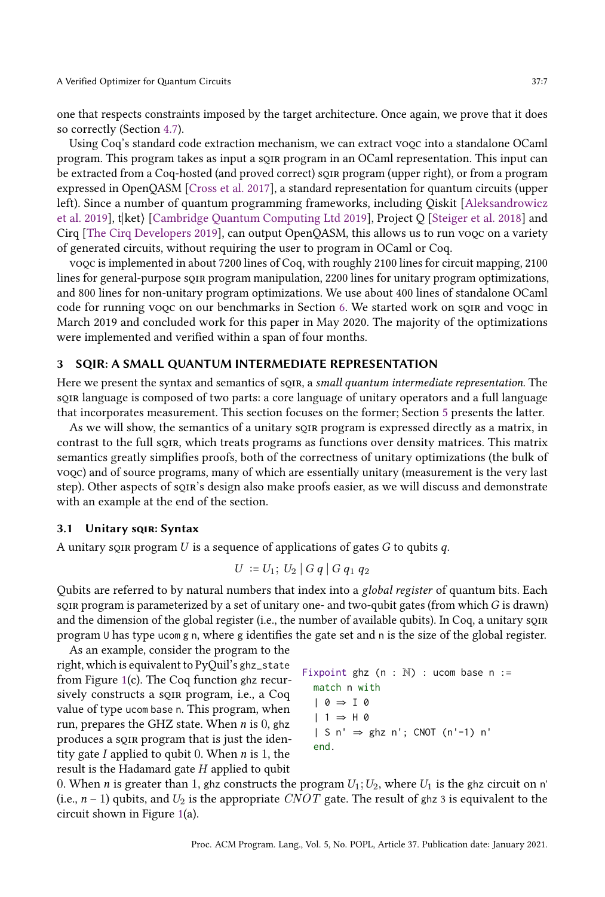one that respects constraints imposed by the target architecture. Once again, we prove that it does so correctly (Section [4.7\)](#page-15-0).

Using Coq's standard code extraction mechanism, we can extract voqc into a standalone OCaml program. This program takes as input a sqir program in an OCaml representation. This input can be extracted from a Coq-hosted (and proved correct) sqir program (upper right), or from a program expressed in OpenQASM [\[Cross et al.](#page-26-4) [2017\]](#page-26-4), a standard representation for quantum circuits (upper left). Since a number of quantum programming frameworks, including Qiskit [\[Aleksandrowicz](#page-26-5) [et al.](#page-26-5) [2019\]](#page-26-5), t $\kappa$ t $\Gamma$  [\[Cambridge Quantum Computing Ltd 2019\]](#page-26-6), Project Q [\[Steiger et al.](#page-28-9) [2018\]](#page-28-9) and Cirq [\[The Cirq Developers 2019\]](#page-28-10), can output OpenQASM, this allows us to run voqc on a variety of generated circuits, without requiring the user to program in OCaml or Coq.

voqc is implemented in about 7200 lines of Coq, with roughly 2100 lines for circuit mapping, 2100 lines for general-purpose sqir program manipulation, 2200 lines for unitary program optimizations, and 800 lines for non-unitary program optimizations. We use about 400 lines of standalone OCaml code for running vooc on our benchmarks in Section [6.](#page-19-0) We started work on soin and vooc in March 2019 and concluded work for this paper in May 2020. The majority of the optimizations were implemented and verified within a span of four months.

#### <span id="page-6-0"></span>3 SQIR: A SMALL QUANTUM INTERMEDIATE REPRESENTATION

Here we present the syntax and semantics of sQIR, a small quantum intermediate representation. The sqir language is composed of two parts: a core language of unitary operators and a full language that incorporates measurement. This section focuses on the former; Section [5](#page-16-0) presents the latter.

As we will show, the semantics of a unitary sqir program is expressed directly as a matrix, in contrast to the full sQIR, which treats programs as functions over density matrices. This matrix semantics greatly simplifies proofs, both of the correctness of unitary optimizations (the bulk of voqc) and of source programs, many of which are essentially unitary (measurement is the very last step). Other aspects of sqir's design also make proofs easier, as we will discuss and demonstrate with an example at the end of the section.

#### <span id="page-6-1"></span>3.1 Unitary sqire: Syntax

A unitary soir program U is a sequence of applications of gates G to qubits q.

$$
U := U_1; U_2 | G q | G q_1 q_2
$$

Qubits are referred to by natural numbers that index into a global register of quantum bits. Each squared program is parameterized by a set of unitary one- and two-qubit gates (from which  $G$  is drawn) and the dimension of the global register (i.e., the number of available qubits). In Coq, a unitary son program U has type ucom g n, where g identifies the gate set and n is the size of the global register.

As an example, consider the program to the right, which is equivalent to PyQuil's ghz\_state from Figure [1\(](#page-4-0)c). The Coq function ghz recursively constructs a sque program, i.e., a Coq value of type ucom base n. This program, when run, prepares the GHZ state. When  $n$  is  $0$ , ghz produces a sqir program that is just the identity gate I applied to qubit 0. When  $n$  is 1, the result is the Hadamard gate H applied to qubit

```
\nFigure 1: Figure 1: Find the image:\n
$$
\begin{align*}\n\text{Fixpoint } \text{ghz} & \text{in } \mathbb{R} \\
& \text{in } \mathbb{R} \\
& \text{in } \mathbb{R} \\
& \text{in } \mathbb{R} \\
& \text{in } \mathbb{R} \\
& \text{in } \mathbb{R} \\
& \text{in } \mathbb{R} \\
& \text{in } \mathbb{R} \\
& \text{in } \mathbb{R} \\
& \text{in } \mathbb{R} \\
& \text{in } \mathbb{R} \\
& \text{in } \mathbb{R} \\
& \text{in } \mathbb{R} \\
& \text{in } \mathbb{R} \\
& \text{in } \mathbb{R} \\
& \text{in } \mathbb{R} \\
& \text{in } \mathbb{R} \\
& \text{in } \mathbb{R} \\
& \text{in } \mathbb{R} \\
& \text{in } \mathbb{R} \\
& \text{in } \mathbb{R} \\
& \text{in } \mathbb{R} \\
& \text{in } \mathbb{R} \\
& \text{in } \mathbb{R} \\
& \text{in } \mathbb{R} \\
& \text{in } \mathbb{R} \\
& \text{in } \mathbb{R} \\
& \text{in } \mathbb{R} \\
& \text{in } \mathbb{R} \\
& \text{in } \mathbb{R} \\
& \text{in } \mathbb{R} \\
& \text{in } \mathbb{R} \\
& \text{in } \mathbb{R} \\
& \text{in } \mathbb{R} \\
& \text{in } \mathbb{R} \\
& \text{in } \mathbb{R} \\
& \text{in } \mathbb{R} \\
& \text{in } \mathbb{R} \\
& \text{in } \mathbb{R} \\
& \text{in } \mathbb{R} \\
& \text{in } \mathbb{R} \\
& \text{in } \mathbb{R} \\
& \text{in } \mathbb{R} \\
& \text{in } \mathbb{R} \\
& \text{in } \mathbb{R} \\
& \text{in } \mathbb{R} \\
& \text{in } \mathbb{R} \\
& \text{in } \mathbb{R} \\
& \text{in } \mathbb{R} \\
& \text{in } \mathbb{R} \\
& \text{in } \mathbb{R} \\
& \text{in } \mathbb{R}
$$

```

0. When *n* is greater than 1, ghz constructs the program  $U_1$ ;  $U_2$ , where  $U_1$  is the ghz circuit on n' (i.e.,  $n-1$ ) qubits, and  $U_2$  is the appropriate CNOT gate. The result of ghz 3 is equivalent to the circuit shown in Figure [1\(](#page-4-0)a).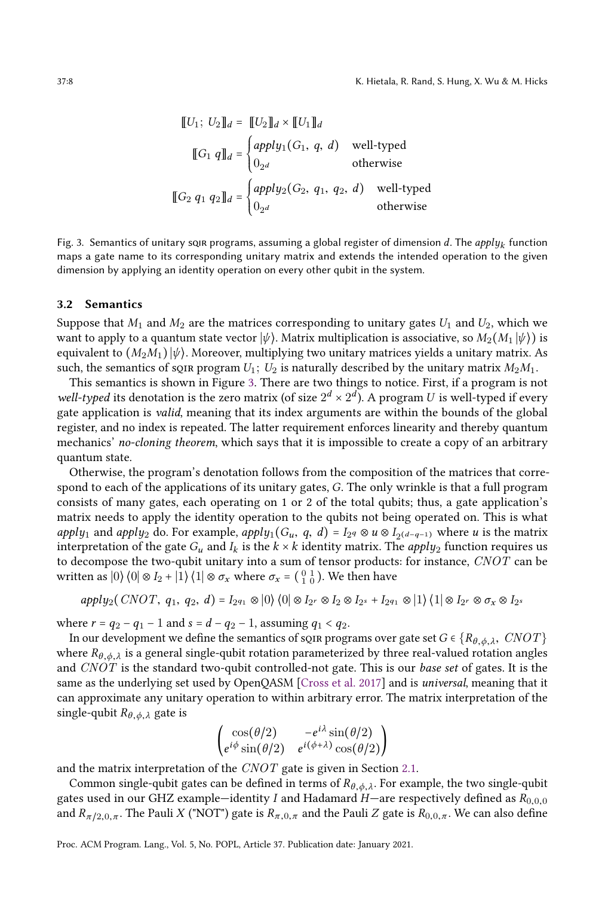<span id="page-7-0"></span>
$$
\llbracket U_1; U_2 \rrbracket_d = \llbracket U_2 \rrbracket_d \times \llbracket U_1 \rrbracket_d
$$
  

$$
\llbracket G_1 \ q \rrbracket_d = \begin{cases} apply_1(G_1, q, d) & well-type d \\ 0_{2^d} & otherwise \end{cases}
$$
  

$$
\llbracket G_2 \ q_1 \ q_2 \rrbracket_d = \begin{cases} apply_2(G_2, q_1, q_2, d) & well-type d \\ 0_{2^d} & otherwise \end{cases}
$$

Fig. 3. Semantics of unitary soı<mark>r programs, assuming a global register</mark> of dimension  $d$ . The  $apply_k$  function maps a gate name to its corresponding unitary matrix and extends the intended operation to the given dimension by applying an identity operation on every other qubit in the system.

#### 3.2 Semantics

Suppose that  $M_1$  and  $M_2$  are the matrices corresponding to unitary gates  $U_1$  and  $U_2$ , which we want to apply to a quantum state vector  $|\psi\rangle$ . Matrix multiplication is associative, so  $M_2(M_1|\psi\rangle)$  is equivalent to  $(M_2M_1)$   $|\psi\rangle$ . Moreover, multiplying two unitary matrices yields a unitary matrix. As such, the semantics of squate program  $U_1$ ;  $U_2$  is naturally described by the unitary matrix  $M_2M_1$ .

This semantics is shown in Figure [3.](#page-7-0) There are two things to notice. First, if a program is not well-typed its denotation is the zero matrix (of size  $2^d \times 2^d$ ). A program U is well-typed if every gate application is valid, meaning that its index arguments are within the bounds of the global register, and no index is repeated. The latter requirement enforces linearity and thereby quantum mechanics' no-cloning theorem, which says that it is impossible to create a copy of an arbitrary quantum state.

Otherwise, the program's denotation follows from the composition of the matrices that correspond to each of the applications of its unitary gates, G. The only wrinkle is that a full program consists of many gates, each operating on 1 or 2 of the total qubits; thus, a gate application's matrix needs to apply the identity operation to the qubits not being operated on. This is what *apply*<sub>1</sub> and *apply*<sub>2</sub> do. For example, *apply*<sub>1</sub>( $G_u$ ,  $q$ ,  $d$ ) =  $I_{2q} \otimes u \otimes I_{2^{(d-q-1)}}$  where  $u$  is the matrix interpretation of the gate  $G_u$  and  $I_k$  is the  $k \times k$  identity matrix. The *apply*<sub>2</sub> function requires us to decompose the two-qubit unitary into a sum of tensor products: for instance, CNOT can be written as  $|0\rangle\langle0|\otimes I_2 + |1\rangle\langle1|\otimes\sigma_x$  where  $\sigma_x = \begin{pmatrix} 0 & 1 \\ 1 & 0 \end{pmatrix}$ . We then have

$$
apply_2(CNOT, q_1, q_2, d) = I_{2^{q_1}} \otimes |0\rangle \langle 0| \otimes I_{2^r} \otimes I_2 \otimes I_{2^s} + I_{2^{q_1}} \otimes |1\rangle \langle 1| \otimes I_{2^r} \otimes \sigma_x \otimes I_{2^s}
$$

where  $r = q_2 - q_1 - 1$  and  $s = d - q_2 - 1$ , assuming  $q_1 < q_2$ .

In our development we define the semantics of sqir programs over gate set  $G \in \{R_{\theta, \phi, \lambda}, \ CNOT\}$ where  $R_{\theta_1,\phi_2,\lambda}$  is a general single-qubit rotation parameterized by three real-valued rotation angles and CNOT is the standard two-qubit controlled-not gate. This is our base set of gates. It is the same as the underlying set used by OpenQASM [\[Cross et al.](#page-26-4) [2017\]](#page-26-4) and is universal, meaning that it can approximate any unitary operation to within arbitrary error. The matrix interpretation of the single-qubit  $R_{\theta, \phi, \lambda}$  gate is

$$
\begin{pmatrix}\n\cos(\theta/2) & -e^{i\lambda}\sin(\theta/2) \\
e^{i\phi}\sin(\theta/2) & e^{i(\phi+\lambda)}\cos(\theta/2)\n\end{pmatrix}
$$

and the matrix interpretation of the CNOT gate is given in Section [2.1.](#page-3-0)

Common single-qubit gates can be defined in terms of  $R_{\theta, \phi, \lambda}$ . For example, the two single-qubit gates used in our GHZ example–identity I and Hadamard H–are respectively defined as  $R_{0,0,0}$ and  $R_{\pi/2,0,\pi}.$  The Pauli X ("NOT") gate is  $R_{\pi,0,\pi}$  and the Pauli Z gate is  $R_{0,0,\pi}.$  We can also define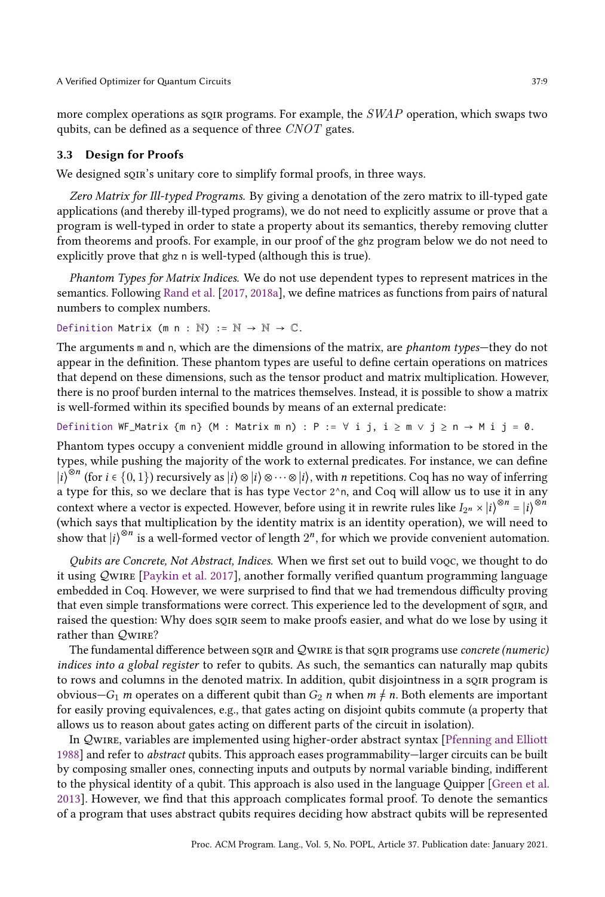more complex operations as sqir programs. For example, the SWAP operation, which swaps two qubits, can be defined as a sequence of three  $CNOT$  gates.

#### <span id="page-8-0"></span>3.3 Design for Proofs

We designed sQIR's unitary core to simplify formal proofs, in three ways.

Zero Matrix for Ill-typed Programs. By giving a denotation of the zero matrix to ill-typed gate applications (and thereby ill-typed programs), we do not need to explicitly assume or prove that a program is well-typed in order to state a property about its semantics, thereby removing clutter from theorems and proofs. For example, in our proof of the ghz program below we do not need to explicitly prove that ghz n is well-typed (although this is true).

Phantom Types for Matrix Indices. We do not use dependent types to represent matrices in the semantics. Following [Rand et al.](#page-28-11) [\[2017,](#page-28-11) [2018a\]](#page-28-12), we define matrices as functions from pairs of natural numbers to complex numbers.

Definition Matrix (m n : N) :=  $\mathbb{N} \to \mathbb{N} \to \mathbb{C}$ .

The arguments  $m$  and  $n$ , which are the dimensions of the matrix, are *phantom types*—they do not appear in the definition. These phantom types are useful to define certain operations on matrices that depend on these dimensions, such as the tensor product and matrix multiplication. However, there is no proof burden internal to the matrices themselves. Instead, it is possible to show a matrix is well-formed within its specified bounds by means of an external predicate:

Definition WF\_Matrix  $\{m n\}$  (M : Matrix m n) : P :=  $\forall$  i j, i  $\ge m \lor j \ge n \to M$  i  $j = 0$ .

Phantom types occupy a convenient middle ground in allowing information to be stored in the types, while pushing the majority of the work to external predicates. For instance, we can define  $|i\rangle^{\otimes n}$  (for  $i \in \{0, 1\}$ ) recursively as  $|i\rangle \otimes |i\rangle \otimes \cdots \otimes |i\rangle$ , with n repetitions. Coq has no way of inferring a type for this, so we declare that is has type Vector  $2^{\wedge}$ n, and Coq will allow us to use it in any context where a vector is expected. However, before using it in rewrite rules like  $I_{2^n} \times |i\rangle^{\otimes n} = |i\rangle^{\otimes n}$ (which says that multiplication by the identity matrix is an identity operation), we will need to show that  $|i\rangle^{\otimes n}$  is a well-formed vector of length  $2^n$ , for which we provide convenient automation.

Qubits are Concrete, Not Abstract, Indices. When we first set out to build voqc, we thought to do it using  $Q$ wire [\[Paykin et al.](#page-27-3) [2017\]](#page-27-3), another formally verified quantum programming language embedded in Coq. However, we were surprised to find that we had tremendous difficulty proving that even simple transformations were correct. This experience led to the development of sqir, and raised the question: Why does sqir seem to make proofs easier, and what do we lose by using it rather than  $Q_{\text{WIRE}}$ ?

The fundamental difference between soir and Q wire is that soir programs use *concrete (numeric)* indices into a global register to refer to qubits. As such, the semantics can naturally map qubits to rows and columns in the denoted matrix. In addition, qubit disjointness in a sqir program is obvious $-G_1$  m operates on a different qubit than  $G_2$  n when  $m \neq n$ . Both elements are important for easily proving equivalences, e.g., that gates acting on disjoint qubits commute (a property that allows us to reason about gates acting on different parts of the circuit in isolation).

In Qwire, variables are implemented using higher-order abstract syntax [\[Pfenning and Elliott](#page-27-4)] [1988\]](#page-27-4) and refer to *abstract* qubits. This approach eases programmability–larger circuits can be built by composing smaller ones, connecting inputs and outputs by normal variable binding, indifferent to the physical identity of a qubit. This approach is also used in the language Quipper [\[Green et al.](#page-27-5) [2013\]](#page-27-5). However, we find that this approach complicates formal proof. To denote the semantics of a program that uses abstract qubits requires deciding how abstract qubits will be represented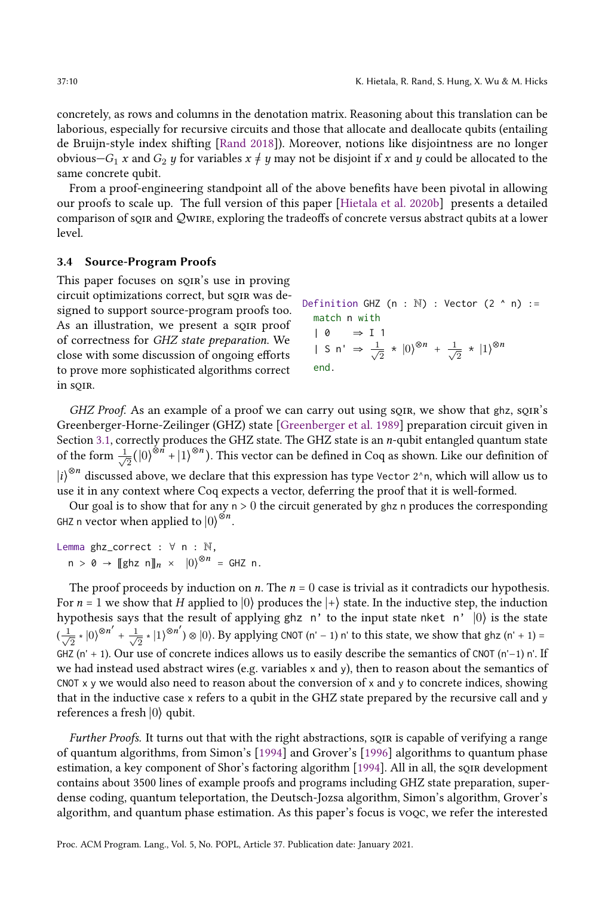concretely, as rows and columns in the denotation matrix. Reasoning about this translation can be laborious, especially for recursive circuits and those that allocate and deallocate qubits (entailing de Bruijn-style index shifting [\[Rand 2018\]](#page-27-12)). Moreover, notions like disjointness are no longer obvious $-G_1 x$  and  $G_2 y$  for variables  $x \neq y$  may not be disjoint if x and y could be allocated to the same concrete qubit.

From a proof-engineering standpoint all of the above benefits have been pivotal in allowing our proofs to scale up. The full version of this paper [\[Hietala et al.](#page-27-9) [2020b\]](#page-27-9) presents a detailed comparison of soir and QWIRE, exploring the tradeoffs of concrete versus abstract qubits at a lower level.

#### 3.4 Source-Program Proofs

This paper focuses on sQIR's use in proving circuit optimizations correct, but sqir was designed to support source-program proofs too. As an illustration, we present a soin proof of correctness for GHZ state preparation. We close with some discussion of ongoing efforts to prove more sophisticated algorithms correct in soir.

```
Definition GHZ (n : \mathbb{N}) : Vector (2 \land n) :=
   match n with
    | 0 ⇒ I 1
    | S \nmid \Rightarrow \frac{1}{\sqrt{2}}\frac{1}{2} \times |0\rangle^{\otimes n} + \frac{1}{\sqrt{2}}\overline{2} * |1\rangle^{\otimes n}end.
```
GHZ Proof. As an example of a proof we can carry out using sqir, we show that ghz, sqire's Greenberger-Horne-Zeilinger (GHZ) state [\[Greenberger et al.](#page-27-6) [1989\]](#page-27-6) preparation circuit given in Section [3.1,](#page-6-1) correctly produces the GHZ state. The GHZ state is an n-qubit entangled quantum state of the form  $\frac{1}{\sqrt{2}}$  $\frac{1}{2}(|0\rangle^{\otimes n} + |1\rangle^{\otimes n})$ . This vector can be defined in Coq as shown. Like our definition of  $\ket{i}^{\otimes n}$  discussed above, we declare that this expression has type Vector 2^n, which will allow us to use it in any context where Coq expects a vector, deferring the proof that it is well-formed.

Our goal is to show that for any  $n > 0$  the circuit generated by ghz n produces the corresponding GHZ n vector when applied to  $\ket{0}^{\otimes n}$ .

Lemma ghz\_correct : ∀ n : N,  $n > 0 \rightarrow \llbracket \text{ghz } n \rrbracket_n \times |0\rangle^{\otimes n} = \text{GHZ } n.$ 

The proof proceeds by induction on *n*. The  $n = 0$  case is trivial as it contradicts our hypothesis. For  $n = 1$  we show that H applied to  $|0\rangle$  produces the  $|+\rangle$  state. In the inductive step, the induction hypothesis says that the result of applying ghz n' to the input state nket n'  $|0\rangle$  is the state  $\left(\frac{1}{\sqrt{2}}\right)$  $\frac{1}{2} \cdot |0\rangle^{\otimes n'} + \frac{1}{\sqrt{n}}$  $\frac{1}{2}$  ∗  $|1\rangle^{\otimes n'}$ ) ⊗  $|0\rangle$ . By applying CNOT (n' − 1) n' to this state, we show that ghz (n' + 1) = GHZ (n' + 1). Our use of concrete indices allows us to easily describe the semantics of CNOT (n'−1) n'. If we had instead used abstract wires (e.g. variables x and y), then to reason about the semantics of CNOT x y we would also need to reason about the conversion of x and y to concrete indices, showing that in the inductive case x refers to a qubit in the GHZ state prepared by the recursive call and y references a fresh  $|0\rangle$  qubit.

Further Proofs. It turns out that with the right abstractions, sqin is capable of verifying a range of quantum algorithms, from Simon's [\[1994\]](#page-28-6) and Grover's [\[1996\]](#page-27-8) algorithms to quantum phase estimation, a key component of Shor's factoring algorithm [\[1994\]](#page-28-5). All in all, the sqir development contains about 3500 lines of example proofs and programs including GHZ state preparation, superdense coding, quantum teleportation, the Deutsch-Jozsa algorithm, Simon's algorithm, Grover's algorithm, and quantum phase estimation. As this paper's focus is voqc, we refer the interested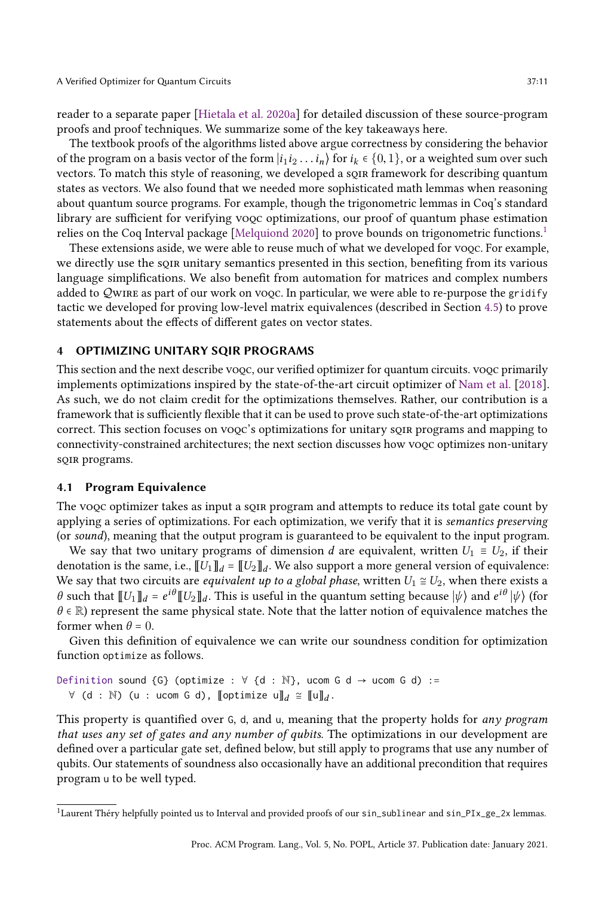reader to a separate paper [\[Hietala et al.](#page-27-7) [2020a\]](#page-27-7) for detailed discussion of these source-program proofs and proof techniques. We summarize some of the key takeaways here.

The textbook proofs of the algorithms listed above argue correctness by considering the behavior of the program on a basis vector of the form  $|i_1i_2...i_n\rangle$  for  $i_k \in \{0,1\}$ , or a weighted sum over such vectors. To match this style of reasoning, we developed a sqir framework for describing quantum states as vectors. We also found that we needed more sophisticated math lemmas when reasoning about quantum source programs. For example, though the trigonometric lemmas in Coq's standard library are sufficient for verifying voqc optimizations, our proof of quantum phase estimation relies on the Coq Interval package [\[Melquiond 2020\]](#page-27-13) to prove bounds on trigonometric functions.[1](#page-10-1)

These extensions aside, we were able to reuse much of what we developed for voqc. For example, we directly use the sqir unitary semantics presented in this section, benefiting from its various language simplifications. We also benefit from automation for matrices and complex numbers added to QWIRE as part of our work on voqc. In particular, we were able to re-purpose the gridify tactic we developed for proving low-level matrix equivalences (described in Section [4.5\)](#page-14-0) to prove statements about the effects of different gates on vector states.

## <span id="page-10-0"></span>4 OPTIMIZING UNITARY SQIR PROGRAMS

This section and the next describe voqc, our verified optimizer for quantum circuits. voqc primarily implements optimizations inspired by the state-of-the-art circuit optimizer of [Nam et al.](#page-27-1) [\[2018\]](#page-27-1). As such, we do not claim credit for the optimizations themselves. Rather, our contribution is a framework that is sufficiently flexible that it can be used to prove such state-of-the-art optimizations correct. This section focuses on voqc's optimizations for unitary sqir programs and mapping to connectivity-constrained architectures; the next section discusses how voqc optimizes non-unitary sQIR programs.

## 4.1 Program Equivalence

The vooc optimizer takes as input a song program and attempts to reduce its total gate count by applying a series of optimizations. For each optimization, we verify that it is semantics preserving (or sound), meaning that the output program is guaranteed to be equivalent to the input program.

We say that two unitary programs of dimension d are equivalent, written  $U_1 \equiv U_2$ , if their denotation is the same, i.e.,  $\llbracket U_1 \rrbracket_d = \llbracket U_2 \rrbracket_d$ . We also support a more general version of equivalence: We say that two circuits are *equivalent up to a global phase*, written  $U_1 \cong U_2$ , when there exists a  $\theta$  such that  $[[U_1]]_d = e^{i\theta}[[U_2]]_d$ . This is useful in the quantum setting because  $|\psi\rangle$  and  $e^{i\theta}|\psi\rangle$  (for  $\theta \in \mathbb{R}$ ) represent the same physical state. Note that the latter notion of equivalence matches the former when  $\theta = 0$ .

Given this definition of equivalence we can write our soundness condition for optimization function optimize as follows.

Definition sound {G} (optimize :  $\forall$  {d : N}, ucom G d  $\rightarrow$  ucom G d) :=  $\forall$  (d : N) (u : ucom G d), [[optimize u]] $_d \cong$  [[u]] $_d$ .

This property is quantified over  $G$ ,  $d$ , and  $u$ , meaning that the property holds for *any program* that uses any set of gates and any number of qubits. The optimizations in our development are defined over a particular gate set, defined below, but still apply to programs that use any number of qubits. Our statements of soundness also occasionally have an additional precondition that requires program u to be well typed.

<span id="page-10-1"></span> $1$ Laurent Théry helpfully pointed us to Interval and provided proofs of our sin\_sublinear and sin\_PIx\_ge\_2x lemmas.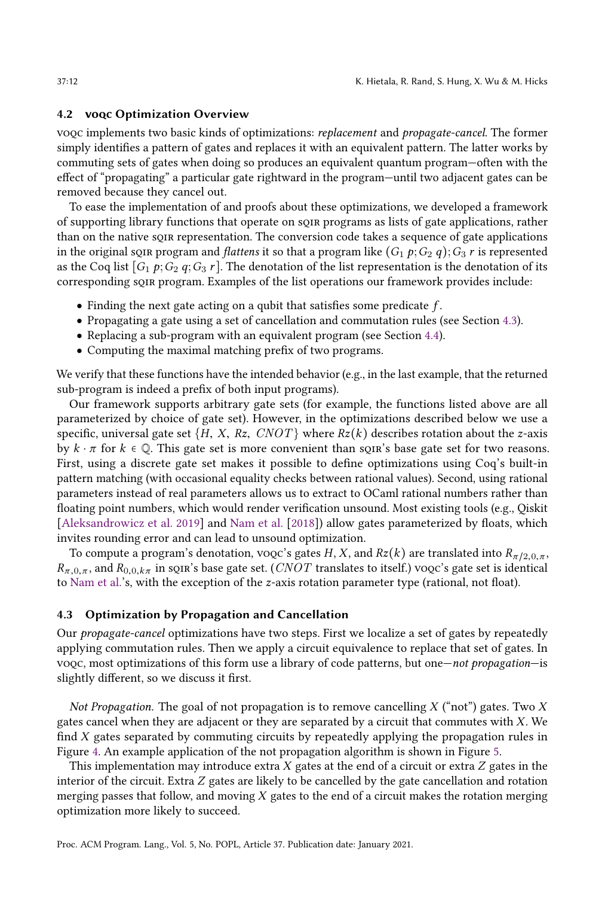#### 4.2 voqc Optimization Overview

voqc implements two basic kinds of optimizations: replacement and propagate-cancel. The former simply identifies a pattern of gates and replaces it with an equivalent pattern. The latter works by commuting sets of gates when doing so produces an equivalent quantum program–often with the effect of "propagating" a particular gate rightward in the program—until two adjacent gates can be removed because they cancel out.

To ease the implementation of and proofs about these optimizations, we developed a framework of supporting library functions that operate on sqir programs as lists of gate applications, rather than on the native sqir representation. The conversion code takes a sequence of gate applications in the original squat program and *flattens* it so that a program like  $(G_1 p; G_2 q); G_3 r$  is represented as the Coq list  $[G_1 p; G_2 q; G_3 r]$ . The denotation of the list representation is the denotation of its corresponding sqir program. Examples of the list operations our framework provides include:

- Finding the next gate acting on a qubit that satisfies some predicate  $f$ .
- Propagating a gate using a set of cancellation and commutation rules (see Section [4.3\)](#page-11-0).
- Replacing a sub-program with an equivalent program (see Section [4.4\)](#page-12-0).
- Computing the maximal matching prefix of two programs.

We verify that these functions have the intended behavior (e.g., in the last example, that the returned sub-program is indeed a prefix of both input programs).

Our framework supports arbitrary gate sets (for example, the functions listed above are all parameterized by choice of gate set). However, in the optimizations described below we use a specific, universal gate set  $\{H, X, Rz, CNOT\}$  where  $Rz(k)$  describes rotation about the z-axis by  $k \cdot \pi$  for  $k \in \mathbb{Q}$ . This gate set is more convenient than squate set for two reasons. First, using a discrete gate set makes it possible to define optimizations using Coq's built-in pattern matching (with occasional equality checks between rational values). Second, using rational parameters instead of real parameters allows us to extract to OCaml rational numbers rather than floating point numbers, which would render verification unsound. Most existing tools (e.g., Qiskit [\[Aleksandrowicz et al.](#page-26-5) [2019\]](#page-26-5) and [Nam et al.](#page-27-1) [\[2018\]](#page-27-1)) allow gates parameterized by floats, which invites rounding error and can lead to unsound optimization.

To compute a program's denotation, voqc's gates H, X, and  $Rz(k)$  are translated into  $R_{\pi/2,0,\pi}$ ,  $R_{\pi,0,\pi}$ , and  $R_{0,0,k\pi}$  in sqires base gate set. (CNOT translates to itself.) voqc's gate set is identical to [Nam et al.'](#page-27-1)s, with the exception of the z-axis rotation parameter type (rational, not float).

#### <span id="page-11-0"></span>4.3 Optimization by Propagation and Cancellation

Our propagate-cancel optimizations have two steps. First we localize a set of gates by repeatedly applying commutation rules. Then we apply a circuit equivalence to replace that set of gates. In voqc, most optimizations of this form use a library of code patterns, but one—not propagation—is slightly different, so we discuss it first.

Not Propagation. The goal of not propagation is to remove cancelling  $X$  ("not") gates. Two  $X$ gates cancel when they are adjacent or they are separated by a circuit that commutes with  $X$ . We find  $X$  gates separated by commuting circuits by repeatedly applying the propagation rules in Figure [4.](#page-12-1) An example application of the not propagation algorithm is shown in Figure [5.](#page-12-2)

This implementation may introduce extra  $X$  gates at the end of a circuit or extra  $Z$  gates in the interior of the circuit. Extra Z gates are likely to be cancelled by the gate cancellation and rotation merging passes that follow, and moving  $X$  gates to the end of a circuit makes the rotation merging optimization more likely to succeed.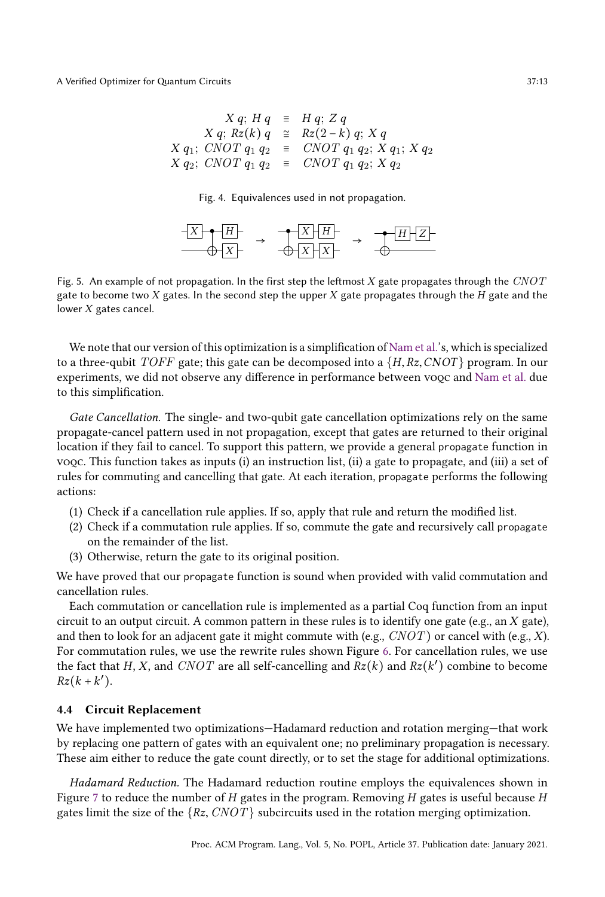<span id="page-12-1"></span>
$$
X q; H q \equiv H q; Z q
$$
  
\n
$$
X q; Rz(k) q \cong Rz(2-k) q; X q
$$
  
\n
$$
X q_1; CNOT q_1 q_2 \equiv CNOT q_1 q_2; X q_1; X q_2
$$
  
\n
$$
X q_2; CNOT q_1 q_2 \equiv CNOT q_1 q_2; X q_2
$$

Fig. 4. Equivalences used in not propagation.



<span id="page-12-2"></span>Fig. 5. An example of not propagation. In the first step the leftmost  $X$  gate propagates through the  $CNOT$ gate to become two  $X$  gates. In the second step the upper  $X$  gate propagates through the  $H$  gate and the lower X gates cancel.

We note that our version of this optimization is a simplification of [Nam et al.'](#page-27-1)s, which is specialized to a three-qubit TOFF gate; this gate can be decomposed into a  $\{H, Rz, CNOT\}$  program. In our experiments, we did not observe any difference in performance between voqc and [Nam et al.](#page-27-1) due to this simplification.

Gate Cancellation. The single- and two-qubit gate cancellation optimizations rely on the same propagate-cancel pattern used in not propagation, except that gates are returned to their original location if they fail to cancel. To support this pattern, we provide a general propagate function in voqc. This function takes as inputs (i) an instruction list, (ii) a gate to propagate, and (iii) a set of rules for commuting and cancelling that gate. At each iteration, propagate performs the following actions:

- (1) Check if a cancellation rule applies. If so, apply that rule and return the modified list.
- (2) Check if a commutation rule applies. If so, commute the gate and recursively call propagate on the remainder of the list.
- (3) Otherwise, return the gate to its original position.

We have proved that our propagate function is sound when provided with valid commutation and cancellation rules.

Each commutation or cancellation rule is implemented as a partial Coq function from an input circuit to an output circuit. A common pattern in these rules is to identify one gate (e.g., an X gate), and then to look for an adjacent gate it might commute with (e.g.,  $CNOT$ ) or cancel with (e.g., X). For commutation rules, we use the rewrite rules shown Figure [6.](#page-13-0) For cancellation rules, we use the fact that H, X, and CNOT are all self-cancelling and  $Rz(k)$  and  $Rz(k')$  combine to become  $Rz(k+k')$ .

#### <span id="page-12-0"></span>4.4 Circuit Replacement

We have implemented two optimizations–Hadamard reduction and rotation merging–that work by replacing one pattern of gates with an equivalent one; no preliminary propagation is necessary. These aim either to reduce the gate count directly, or to set the stage for additional optimizations.

Hadamard Reduction. The Hadamard reduction routine employs the equivalences shown in Figure [7](#page-13-1) to reduce the number of H gates in the program. Removing H gates is useful because H gates limit the size of the  $\{Rz, CNOT\}$  subcircuits used in the rotation merging optimization.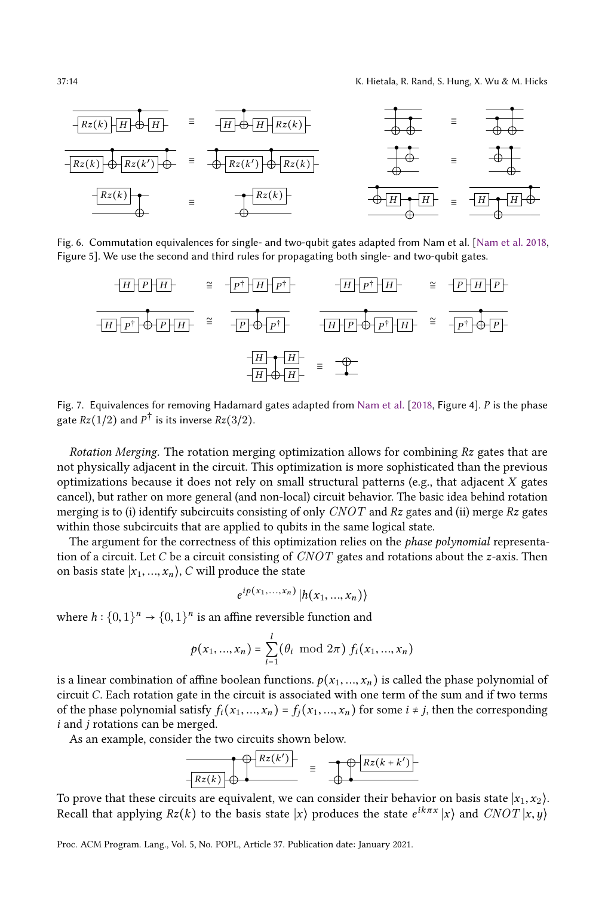<span id="page-13-0"></span>

Fig. 6. Commutation equivalences for single- and two-qubit gates adapted from Nam et al. [\[Nam et al.](#page-27-1) [2018,](#page-27-1) Figure 5]. We use the second and third rules for propagating both single- and two-qubit gates.

<span id="page-13-1"></span>

Fig. 7. Equivalences for removing Hadamard gates adapted from [Nam et al.](#page-27-1) [\[2018,](#page-27-1) Figure 4]. P is the phase gate  $Rz(1/2)$  and  $P^{\dagger}$  is its inverse  $Rz(3/2).$ 

Rotation Merging. The rotation merging optimization allows for combining  $Rz$  gates that are not physically adjacent in the circuit. This optimization is more sophisticated than the previous optimizations because it does not rely on small structural patterns (e.g., that adjacent X gates cancel), but rather on more general (and non-local) circuit behavior. The basic idea behind rotation merging is to (i) identify subcircuits consisting of only  $CNOT$  and Rz gates and (ii) merge Rz gates within those subcircuits that are applied to qubits in the same logical state.

The argument for the correctness of this optimization relies on the *phase polynomial* representation of a circuit. Let C be a circuit consisting of  $CNOT$  gates and rotations about the z-axis. Then on basis state  $|x_1, ..., x_n\rangle$ , C will produce the state

$$
e^{ip(x_1,...,x_n)}|h(x_1,...,x_n)\rangle
$$

where  $h: \{0,1\}^n \to \{0,1\}^n$  is an affine reversible function and

$$
p(x_1, ..., x_n) = \sum_{i=1}^{l} (\theta_i \mod 2\pi) f_i(x_1, ..., x_n)
$$

is a linear combination of affine boolean functions.  $p(x_1, ..., x_n)$  is called the phase polynomial of circuit C. Each rotation gate in the circuit is associated with one term of the sum and if two terms of the phase polynomial satisfy  $f_i(x_1, ..., x_n) = f_j(x_1, ..., x_n)$  for some  $i \neq j$ , then the corresponding  $i$  and  $j$  rotations can be merged.

As an example, consider the two circuits shown below.



To prove that these circuits are equivalent, we can consider their behavior on basis state  $|x_1, x_2\rangle$ . Recall that applying  $Rz(k)$  to the basis state  $|x\rangle$  produces the state  $e^{ik\pi x} |x\rangle$  and  $CNOT |x, y\rangle$ 

Proc. ACM Program. Lang., Vol. 5, No. POPL, Article 37. Publication date: January 2021.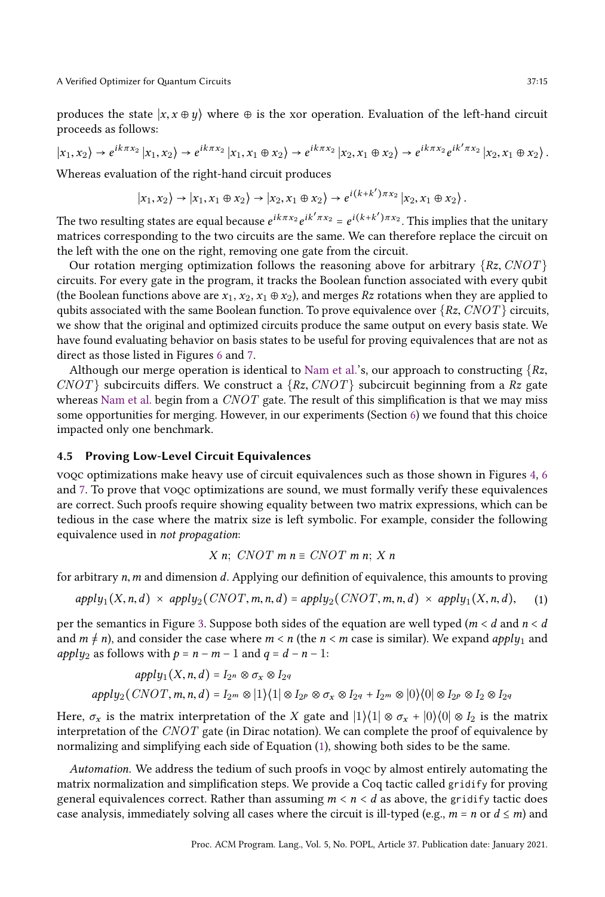produces the state  $|x, x \oplus y\rangle$  where  $\oplus$  is the xor operation. Evaluation of the left-hand circuit proceeds as follows:

 $|x_1, x_2\rangle \rightarrow e^{ik\pi x_2} |x_1, x_2\rangle \rightarrow e^{ik\pi x_2} |x_1, x_1 \oplus x_2\rangle \rightarrow e^{ik\pi x_2} |x_2, x_1 \oplus x_2\rangle \rightarrow e^{ik\pi x_2} e^{ik'\pi x_2} |x_2, x_1 \oplus x_2\rangle.$ 

Whereas evaluation of the right-hand circuit produces

$$
|x_1, x_2\rangle \rightarrow |x_1, x_1 \oplus x_2\rangle \rightarrow |x_2, x_1 \oplus x_2\rangle \rightarrow e^{i(k+k')\pi x_2} |x_2, x_1 \oplus x_2\rangle.
$$

The two resulting states are equal because  $e^{ik\pi x_2}e^{ik'\pi x_2}=e^{i(k+k')\pi x_2}.$  This implies that the unitary matrices corresponding to the two circuits are the same. We can therefore replace the circuit on the left with the one on the right, removing one gate from the circuit.

Our rotation merging optimization follows the reasoning above for arbitrary  $\{Rz, CNOT\}$ circuits. For every gate in the program, it tracks the Boolean function associated with every qubit (the Boolean functions above are  $x_1, x_2, x_1 \oplus x_2$ ), and merges Rz rotations when they are applied to qubits associated with the same Boolean function. To prove equivalence over  $\{Rz, CNOT\}$  circuits, we show that the original and optimized circuits produce the same output on every basis state. We have found evaluating behavior on basis states to be useful for proving equivalences that are not as direct as those listed in Figures [6](#page-13-0) and [7.](#page-13-1)

Although our merge operation is identical to [Nam et al.'](#page-27-1)s, our approach to constructing  $\{Rz, \ldots\}$  $CNOT$  subcircuits differs. We construct a  $\{Rx, CNOT\}$  subcircuit beginning from a Rz gate whereas [Nam et al.](#page-27-1) begin from a  $CNOT$  gate. The result of this simplification is that we may miss some opportunities for merging. However, in our experiments (Section [6\)](#page-19-0) we found that this choice impacted only one benchmark.

# <span id="page-14-0"></span>4.5 Proving Low-Level Circuit Equivalences

voqc optimizations make heavy use of circuit equivalences such as those shown in Figures [4,](#page-12-1) [6](#page-13-0) and [7.](#page-13-1) To prove that vooc optimizations are sound, we must formally verify these equivalences are correct. Such proofs require showing equality between two matrix expressions, which can be tedious in the case where the matrix size is left symbolic. For example, consider the following equivalence used in not propagation:

$$
X\ n;\ CNOT\ m\ n \equiv CNOT\ m\ n;\ X\ n
$$

for arbitrary  $n, m$  and dimension  $d$ . Applying our definition of equivalence, this amounts to proving

<span id="page-14-1"></span>
$$
apply_1(X, n, d) \times apply_2(CNOT, m, n, d) = apply_2(CNOT, m, n, d) \times apply_1(X, n, d), (1)
$$

per the semantics in Figure [3.](#page-7-0) Suppose both sides of the equation are well typed ( $m < d$  and  $n < d$ ) and  $m \neq n$ ), and consider the case where  $m < n$  (the  $n < m$  case is similar). We expand apply<sub>1</sub> and *apply*<sub>2</sub> as follows with  $p = n - m - 1$  and  $q = d - n - 1$ :

$$
apply_1(X, n, d) = I_{2^n} \otimes \sigma_x \otimes I_{2q}
$$
  
apply\_2(CNOT, m, n, d) = I\_{2^m} \otimes |1\rangle\langle1| \otimes I\_{2^p} \otimes \sigma\_x \otimes I\_{2q} + I\_{2^m} \otimes |0\rangle\langle0| \otimes I\_{2^p} \otimes I\_{2} \otimes I\_{2q}

Here,  $\sigma_x$  is the matrix interpretation of the X gate and  $|1\rangle\langle 1| \otimes \sigma_x + |0\rangle\langle 0| \otimes I_2$  is the matrix interpretation of the  $CNOT$  gate (in Dirac notation). We can complete the proof of equivalence by normalizing and simplifying each side of Equation [\(1\)](#page-14-1), showing both sides to be the same.

Automation. We address the tedium of such proofs in voqc by almost entirely automating the matrix normalization and simplification steps. We provide a Coq tactic called gridify for proving general equivalences correct. Rather than assuming  $m < n < d$  as above, the gridify tactic does case analysis, immediately solving all cases where the circuit is ill-typed (e.g.,  $m = n$  or  $d \le m$ ) and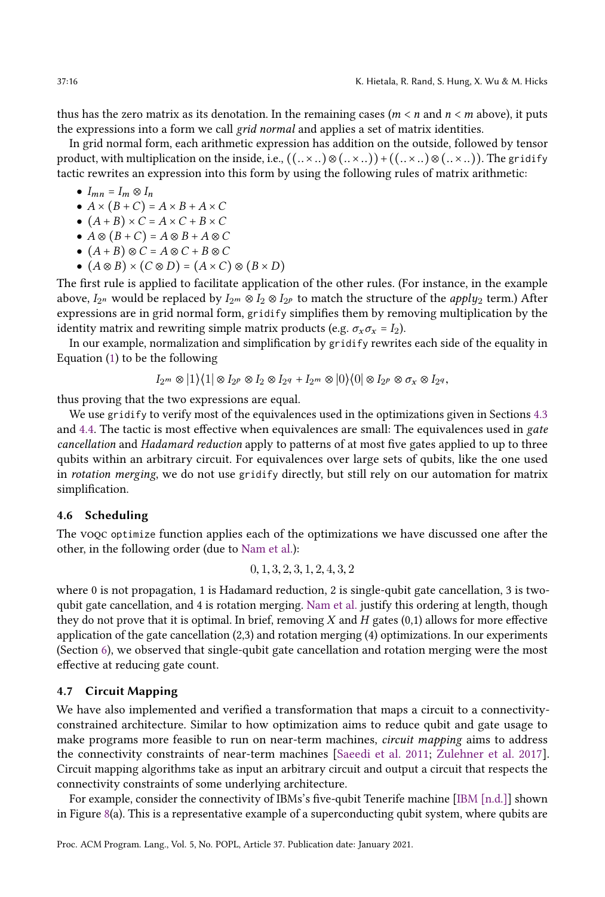thus has the zero matrix as its denotation. In the remaining cases ( $m < n$  and  $n < m$  above), it puts the expressions into a form we call grid normal and applies a set of matrix identities.

In grid normal form, each arithmetic expression has addition on the outside, followed by tensor product, with multiplication on the inside, i.e.,  $((. \times .) \otimes (. \times ..)) + ((. \times ..) \otimes (. \times ..))$ . The gridify tactic rewrites an expression into this form by using the following rules of matrix arithmetic:

- $\bullet$   $I_{mn} = I_m \otimes I_n$
- $\bullet$   $A \times (B + C) = A \times B + A \times C$
- $\bullet$   $(A + B) \times C = A \times C + B \times C$
- $\bullet A \otimes (B+C) = A \otimes B + A \otimes C$
- $\bullet$   $(A + B) \otimes C = A \otimes C + B \otimes C$
- $\bullet$   $(A \otimes B) \times (C \otimes D) = (A \times C) \otimes (B \times D)$

The first rule is applied to facilitate application of the other rules. (For instance, in the example above,  $I_{2^n}$  would be replaced by  $I_{2^m}\otimes I_2\otimes I_{2^p}$  to match the structure of the  $apply_2$  term.) After expressions are in grid normal form, gridify simplifies them by removing multiplication by the identity matrix and rewriting simple matrix products (e.g.  $\sigma_x \sigma_x = I_2$ ).

In our example, normalization and simplification by gridify rewrites each side of the equality in Equation [\(1\)](#page-14-1) to be the following

$$
I_{2^m} \otimes |1\rangle\langle 1| \otimes I_{2^p} \otimes I_2 \otimes I_{2^q} + I_{2^m} \otimes |0\rangle\langle 0| \otimes I_{2^p} \otimes \sigma_x \otimes I_{2^q},
$$

thus proving that the two expressions are equal.

We use gridify to verify most of the equivalences used in the optimizations given in Sections [4.3](#page-11-0) and [4.4.](#page-12-0) The tactic is most effective when equivalences are small: The equivalences used in gate cancellation and Hadamard reduction apply to patterns of at most five gates applied to up to three qubits within an arbitrary circuit. For equivalences over large sets of qubits, like the one used in rotation merging, we do not use gridify directly, but still rely on our automation for matrix simplification.

## 4.6 Scheduling

The voqc optimize function applies each of the optimizations we have discussed one after the other, in the following order (due to [Nam et al.\)](#page-27-1):

$$
0, 1, 3, 2, 3, 1, 2, 4, 3, 2
$$

where 0 is not propagation, 1 is Hadamard reduction, 2 is single-qubit gate cancellation, 3 is twoqubit gate cancellation, and 4 is rotation merging. [Nam et al.](#page-27-1) justify this ordering at length, though they do not prove that it is optimal. In brief, removing  $X$  and  $H$  gates (0,1) allows for more effective application of the gate cancellation (2,3) and rotation merging (4) optimizations. In our experiments (Section [6\)](#page-19-0), we observed that single-qubit gate cancellation and rotation merging were the most effective at reducing gate count.

## <span id="page-15-0"></span>4.7 Circuit Mapping

We have also implemented and verified a transformation that maps a circuit to a connectivityconstrained architecture. Similar to how optimization aims to reduce qubit and gate usage to make programs more feasible to run on near-term machines, circuit mapping aims to address the connectivity constraints of near-term machines [\[Saeedi et al.](#page-28-13) [2011;](#page-28-13) [Zulehner et al.](#page-28-14) [2017\]](#page-28-14). Circuit mapping algorithms take as input an arbitrary circuit and output a circuit that respects the connectivity constraints of some underlying architecture.

For example, consider the connectivity of IBMs's five-qubit Tenerife machine [\[IBM \[n.d.\]\]](#page-27-14) shown in Figure  $8(a)$  $8(a)$ . This is a representative example of a superconducting qubit system, where qubits are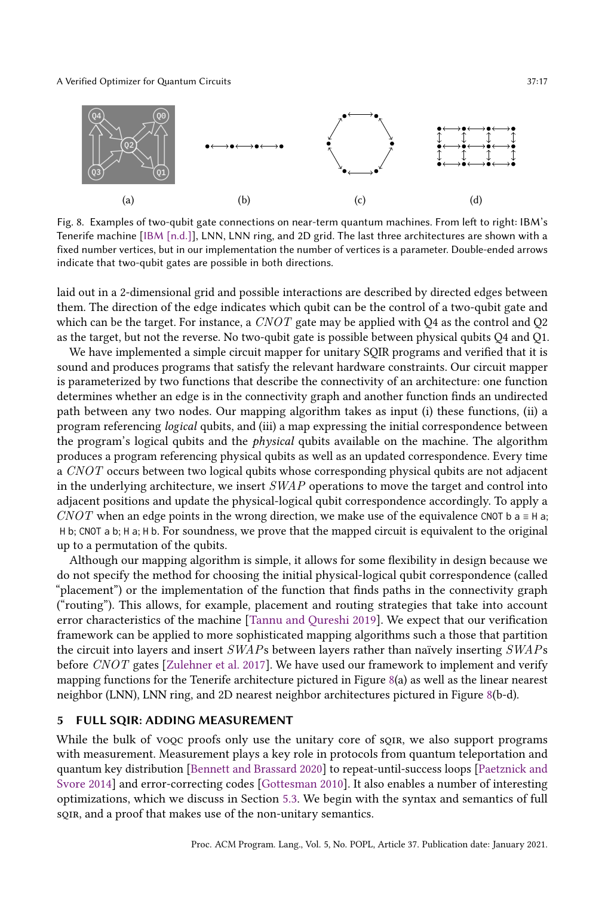<span id="page-16-1"></span>

Fig. 8. Examples of two-qubit gate connections on near-term quantum machines. From left to right: IBM's Tenerife machine [\[IBM \[n.d.\]\]](#page-27-14), LNN, LNN ring, and 2D grid. The last three architectures are shown with a fixed number vertices, but in our implementation the number of vertices is a parameter. Double-ended arrows indicate that two-qubit gates are possible in both directions.

laid out in a 2-dimensional grid and possible interactions are described by directed edges between them. The direction of the edge indicates which qubit can be the control of a two-qubit gate and which can be the target. For instance, a  $CNOT$  gate may be applied with Q4 as the control and Q2 as the target, but not the reverse. No two-qubit gate is possible between physical qubits Q4 and Q1.

We have implemented a simple circuit mapper for unitary SQIR programs and verified that it is sound and produces programs that satisfy the relevant hardware constraints. Our circuit mapper is parameterized by two functions that describe the connectivity of an architecture: one function determines whether an edge is in the connectivity graph and another function finds an undirected path between any two nodes. Our mapping algorithm takes as input (i) these functions, (ii) a program referencing logical qubits, and (iii) a map expressing the initial correspondence between the program's logical qubits and the physical qubits available on the machine. The algorithm produces a program referencing physical qubits as well as an updated correspondence. Every time a CNOT occurs between two logical qubits whose corresponding physical qubits are not adjacent in the underlying architecture, we insert  $SWAP$  operations to move the target and control into adjacent positions and update the physical-logical qubit correspondence accordingly. To apply a CNOT when an edge points in the wrong direction, we make use of the equivalence CNOT b a  $\equiv$  H a; H b; CNOT a b; H a; H b. For soundness, we prove that the mapped circuit is equivalent to the original up to a permutation of the qubits.

Although our mapping algorithm is simple, it allows for some flexibility in design because we do not specify the method for choosing the initial physical-logical qubit correspondence (called "placement") or the implementation of the function that finds paths in the connectivity graph ("routing"). This allows, for example, placement and routing strategies that take into account error characteristics of the machine [\[Tannu and Qureshi 2019\]](#page-28-15). We expect that our verification framework can be applied to more sophisticated mapping algorithms such a those that partition the circuit into layers and insert SWAPs between layers rather than naïvely inserting SWAPs before CNOT gates [\[Zulehner et al.](#page-28-14) [2017\]](#page-28-14). We have used our framework to implement and verify mapping functions for the Tenerife architecture pictured in Figure [8\(](#page-16-1)a) as well as the linear nearest neighbor (LNN), LNN ring, and 2D nearest neighbor architectures pictured in Figure [8\(](#page-16-1)b-d).

## <span id="page-16-0"></span>5 FULL SQIR: ADDING MEASUREMENT

While the bulk of voqc proofs only use the unitary core of sqir, we also support programs with measurement. Measurement plays a key role in protocols from quantum teleportation and quantum key distribution [\[Bennett and Brassard 2020\]](#page-26-9) to repeat-until-success loops [\[Paetznick and](#page-27-15) [Svore 2014\]](#page-27-15) and error-correcting codes [\[Gottesman 2010\]](#page-26-10). It also enables a number of interesting optimizations, which we discuss in Section [5.3.](#page-18-0) We begin with the syntax and semantics of full soin, and a proof that makes use of the non-unitary semantics.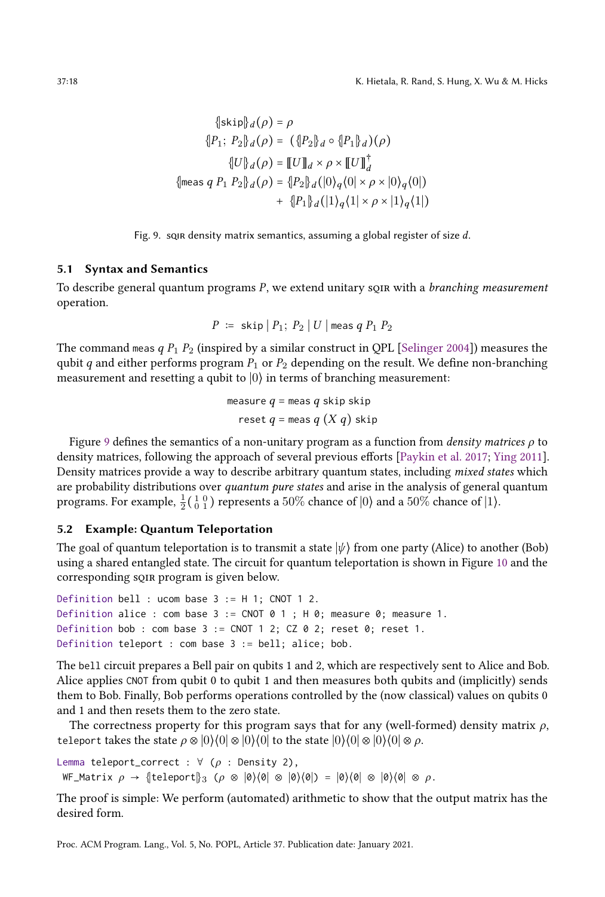<span id="page-17-0"></span>
$$
\begin{aligned}\n\{\text{skip}\}d(\rho) &= \rho \\
\{P_1; \ P_2\}d(\rho) &= \left(\{P_2\}d \circ \{P_1\}d\right)(\rho) \\
\{\text{U}\}d(\rho) &= \left[\text{U}\right]d \times \rho \times \left[\text{U}\right]_d^{\dagger} \\
\{\text{meas } q \ P_1 \ P_2\}d(\rho) &= \{P_2\}d(\left|0\right)_q(0) \times \rho \times \left|0\right>_q(0)\} \\
&\quad + \left\{P_1\}d(\left|1\right)_q(1) \times \rho \times \left|1\right>_q(1)\right.\n\end{aligned}
$$

Fig. 9. sqir density matrix semantics, assuming a global register of size d.

#### 5.1 Syntax and Semantics

To describe general quantum programs  $P$ , we extend unitary sqirts with a *branching measurement* operation.

$$
P \ := \ \textsf{skip} \ | \ P_1; \ P_2 \ | \ U \ | \ \textsf{meas} \ q \ P_1 \ P_2
$$

The command meas  $q P_1 P_2$  (inspired by a similar construct in QPL [\[Selinger 2004\]](#page-28-4)) measures the qubit q and either performs program  $P_1$  or  $P_2$  depending on the result. We define non-branching measurement and resetting a qubit to  $|0\rangle$  in terms of branching measurement:

$$
\begin{aligned} \text{measure } q &= \text{meas } q \text{ skip skip} \\ \text{reset } q &= \text{meas } q \left( X \, q \right) \text{ skip} \end{aligned}
$$

Figure [9](#page-17-0) defines the semantics of a non-unitary program as a function from *density matrices*  $\rho$  to density matrices, following the approach of several previous efforts [\[Paykin et al.](#page-27-3) [2017;](#page-27-3) [Ying 2011\]](#page-28-16). Density matrices provide a way to describe arbitrary quantum states, including mixed states which are probability distributions over quantum pure states and arise in the analysis of general quantum programs. For example,  $\frac{1}{2}$ ( $\frac{1}{0}$  $\frac{0}{1}$ ) represents a 50% chance of  $|0\rangle$  and a 50% chance of  $|1\rangle$ .

## 5.2 Example: Quantum Teleportation

The goal of quantum teleportation is to transmit a state  $|\psi\rangle$  from one party (Alice) to another (Bob) using a shared entangled state. The circuit for quantum teleportation is shown in Figure [10](#page-18-1) and the corresponding sqir program is given below.

```
Definition bell : ucom base 3 := H 1; CNOT 1 2.
Definition alice : com base 3 := CNOT 0 1; H 0; measure 0; measure 1.
Definition bob : com base 3 := CNOT 1 2; CZ 0 2; reset 0; reset 1.
Definition teleport : com base 3 := bell; alice; bob.
```
The bell circuit prepares a Bell pair on qubits 1 and 2, which are respectively sent to Alice and Bob. Alice applies CNOT from qubit 0 to qubit 1 and then measures both qubits and (implicitly) sends them to Bob. Finally, Bob performs operations controlled by the (now classical) values on qubits 0 and 1 and then resets them to the zero state.

The correctness property for this program says that for any (well-formed) density matrix  $\rho$ , teleport takes the state  $\rho \otimes |0\rangle\langle 0| \otimes |0\rangle\langle 0|$  to the state  $|0\rangle\langle 0| \otimes |0\rangle\langle 0| \otimes \rho$ .

Lemma teleport\_correct :  $\forall (\rho :$  Density 2), WF\_Matrix  $\rho \to \{\text{teleport}\}_3$  ( $\rho \otimes |\emptyset\rangle\langle\emptyset| \otimes |\emptyset\rangle\langle\emptyset| \otimes |\emptyset\rangle\langle\emptyset| \otimes |\emptyset\rangle\langle\emptyset| \otimes \rho.$ 

The proof is simple: We perform (automated) arithmetic to show that the output matrix has the desired form.

Proc. ACM Program. Lang., Vol. 5, No. POPL, Article 37. Publication date: January 2021.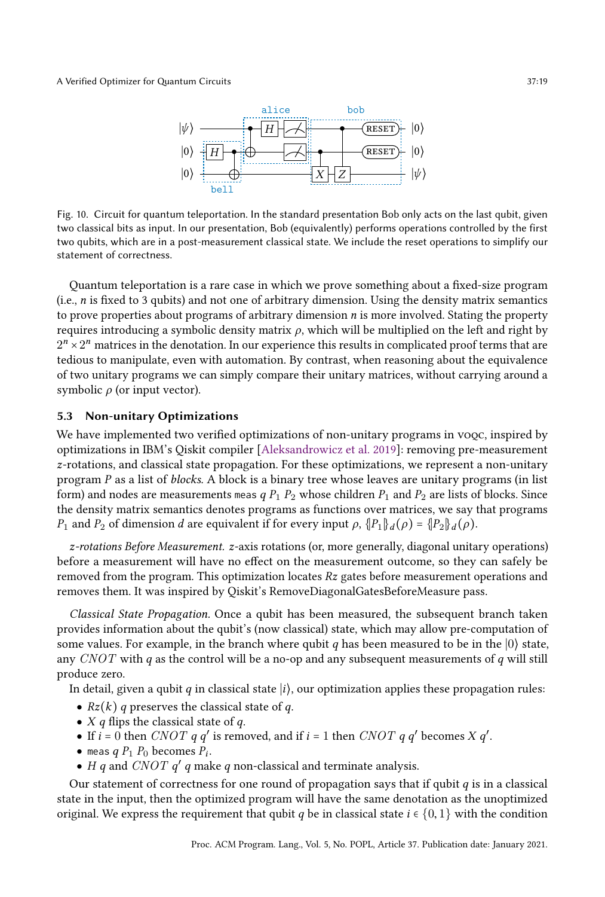<span id="page-18-1"></span>

Fig. 10. Circuit for quantum teleportation. In the standard presentation Bob only acts on the last qubit, given two classical bits as input. In our presentation, Bob (equivalently) performs operations controlled by the first two qubits, which are in a post-measurement classical state. We include the reset operations to simplify our statement of correctness.

Quantum teleportation is a rare case in which we prove something about a fixed-size program (i.e.,  $n$  is fixed to 3 qubits) and not one of arbitrary dimension. Using the density matrix semantics to prove properties about programs of arbitrary dimension  $n$  is more involved. Stating the property requires introducing a symbolic density matrix  $\rho$ , which will be multiplied on the left and right by  $2^n \times 2^n$  matrices in the denotation. In our experience this results in complicated proof terms that are tedious to manipulate, even with automation. By contrast, when reasoning about the equivalence of two unitary programs we can simply compare their unitary matrices, without carrying around a symbolic  $\rho$  (or input vector).

## <span id="page-18-0"></span>5.3 Non-unitary Optimizations

We have implemented two verified optimizations of non-unitary programs in voqc, inspired by optimizations in IBM's Qiskit compiler [\[Aleksandrowicz et al.](#page-26-5) [2019\]](#page-26-5): removing pre-measurement z-rotations, and classical state propagation. For these optimizations, we represent a non-unitary program  $P$  as a list of *blocks*. A block is a binary tree whose leaves are unitary programs (in list form) and nodes are measurements meas q  $P_1$   $P_2$  whose children  $P_1$  and  $P_2$  are lists of blocks. Since the density matrix semantics denotes programs as functions over matrices, we say that programs P<sub>1</sub> and P<sub>2</sub> of dimension d are equivalent if for every input  $ρ$ ,  $\{P_1\}_d(ρ) = \{P_2\}_d(ρ)$ .

z-rotations Before Measurement. z-axis rotations (or, more generally, diagonal unitary operations) before a measurement will have no effect on the measurement outcome, so they can safely be removed from the program. This optimization locates  $Rz$  gates before measurement operations and removes them. It was inspired by Qiskit's RemoveDiagonalGatesBeforeMeasure pass.

Classical State Propagation. Once a qubit has been measured, the subsequent branch taken provides information about the qubit's (now classical) state, which may allow pre-computation of some values. For example, in the branch where qubit q has been measured to be in the  $|0\rangle$  state, any  $CNOT$  with q as the control will be a no-op and any subsequent measurements of q will still produce zero.

In detail, given a qubit q in classical state  $|i\rangle$ , our optimization applies these propagation rules:

- $Rz(k)$  q preserves the classical state of q.
- $X$  q flips the classical state of q.
- If  $i = 0$  then *CNOT* q q' is removed, and if  $i = 1$  then *CNOT* q q' becomes *X* q'.
- $\bullet$  meas  $q P_1 P_0$  becomes  $P_i$ .
- H q and CNOT  $q'$  q make q non-classical and terminate analysis.

Our statement of correctness for one round of propagation says that if qubit  $q$  is in a classical state in the input, then the optimized program will have the same denotation as the unoptimized original. We express the requirement that qubit q be in classical state  $i \in \{0, 1\}$  with the condition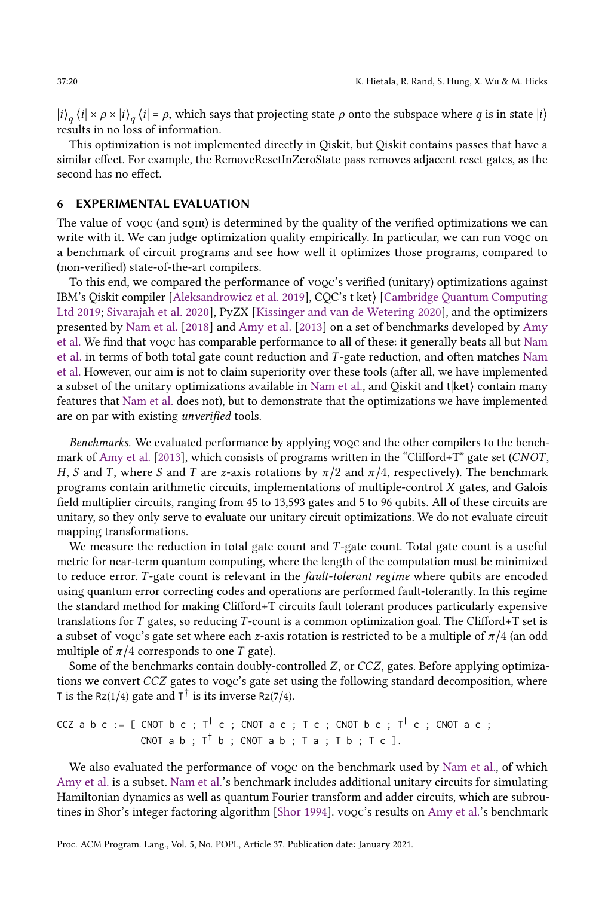$|i\rangle_q\langle i|\times\rho\times|i\rangle_q\langle i| = \rho$ , which says that projecting state  $\rho$  onto the subspace where  $q$  is in state  $|i\rangle$ results in no loss of information.

This optimization is not implemented directly in Qiskit, but Qiskit contains passes that have a similar effect. For example, the RemoveResetInZeroState pass removes adjacent reset gates, as the second has no effect.

## <span id="page-19-0"></span>6 EXPERIMENTAL EVALUATION

The value of voqc (and sqir) is determined by the quality of the verified optimizations we can write with it. We can judge optimization quality empirically. In particular, we can run voqc on a benchmark of circuit programs and see how well it optimizes those programs, compared to (non-verified) state-of-the-art compilers.

To this end, we compared the performance of voqc's verified (unitary) optimizations against IBM's Qiskit compiler [\[Aleksandrowicz et al.](#page-26-5) [2019\]](#page-26-5), CQC's t|ket⟩ [\[Cambridge Quantum Computing](#page-26-6) [Ltd 2019;](#page-26-6) [Sivarajah et al.](#page-28-17) [2020\]](#page-28-17), PyZX [\[Kissinger and van de Wetering 2020\]](#page-27-0), and the optimizers presented by [Nam et al.](#page-27-1) [\[2018\]](#page-27-1) and [Amy et al.](#page-26-0) [\[2013\]](#page-26-0) on a set of benchmarks developed by [Amy](#page-26-0) [et al.](#page-26-0) We find that voqc has comparable performance to all of these: it generally beats all but [Nam](#page-27-1) [et al.](#page-27-1) in terms of both total gate count reduction and T -gate reduction, and often matches [Nam](#page-27-1) [et al.](#page-27-1) However, our aim is not to claim superiority over these tools (after all, we have implemented a subset of the unitary optimizations available in [Nam et al.,](#page-27-1) and Qiskit and  $t$  |ket $\rangle$  contain many features that [Nam et al.](#page-27-1) does not), but to demonstrate that the optimizations we have implemented are on par with existing unverified tools.

Benchmarks. We evaluated performance by applying voqc and the other compilers to the bench-mark of [Amy et al.](#page-26-0) [\[2013\]](#page-26-0), which consists of programs written in the "Clifford+T" gate set (CNOT, H, S and T, where S and T are z-axis rotations by  $\pi/2$  and  $\pi/4$ , respectively). The benchmark programs contain arithmetic circuits, implementations of multiple-control X gates, and Galois field multiplier circuits, ranging from 45 to 13,593 gates and 5 to 96 qubits. All of these circuits are unitary, so they only serve to evaluate our unitary circuit optimizations. We do not evaluate circuit mapping transformations.

We measure the reduction in total gate count and  $T$ -gate count. Total gate count is a useful metric for near-term quantum computing, where the length of the computation must be minimized to reduce error. T-gate count is relevant in the *fault-tolerant regime* where qubits are encoded using quantum error correcting codes and operations are performed fault-tolerantly. In this regime the standard method for making Clifford+T circuits fault tolerant produces particularly expensive translations for  $T$  gates, so reducing  $T$ -count is a common optimization goal. The Clifford+T set is a subset of voqc's gate set where each z-axis rotation is restricted to be a multiple of  $\pi/4$  (an odd multiple of  $\pi/4$  corresponds to one T gate).

Some of the benchmarks contain doubly-controlled Z, or CCZ, gates. Before applying optimizations we convert CCZ gates to voqc's gate set using the following standard decomposition, where T is the Rz(1/4) gate and  $T^{\dagger}$  is its inverse Rz(7/4).

$$
CCZ \nab c := [ \nCNOT \nbc ; \nT^{\dagger} c ; \nCNOT \nac ; \nT c ; \nCNOT \nbc ; \nT^{\dagger} c ; \nCNOT \nac ; \nCNOT \nab ; \nT^{\dagger} b ; \nCNOT \nab ; \nT a ; \nT b ; \nT c ].
$$

We also evaluated the performance of voqc on the benchmark used by [Nam et al.,](#page-27-1) of which [Amy et al.](#page-26-0) is a subset. [Nam et al.'](#page-27-1)s benchmark includes additional unitary circuits for simulating Hamiltonian dynamics as well as quantum Fourier transform and adder circuits, which are subroutines in Shor's integer factoring algorithm [\[Shor 1994\]](#page-28-5). voqc's results on [Amy et al.'](#page-26-0)s benchmark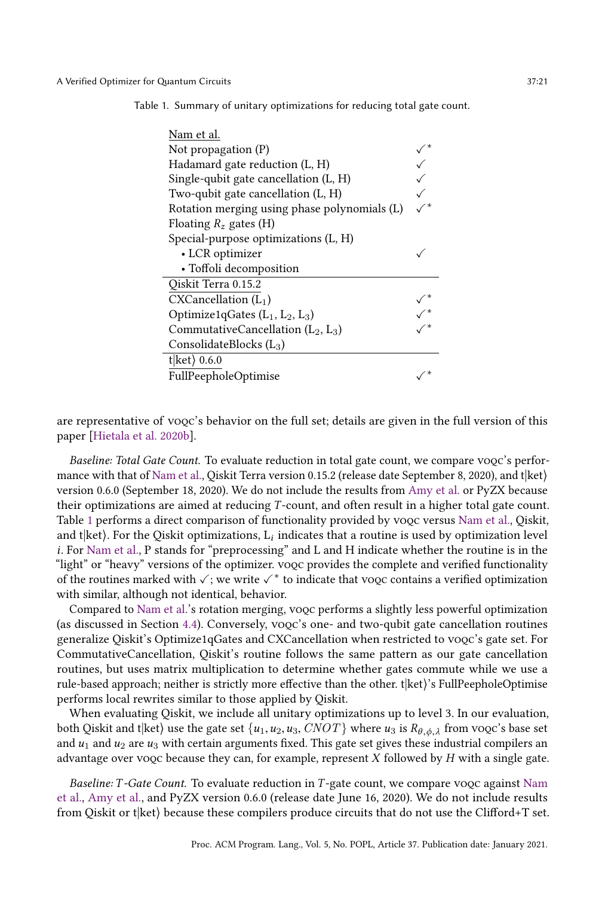<span id="page-20-0"></span>Table 1. Summary of unitary optimizations for reducing total gate count.

| Nam et al.                                   |  |
|----------------------------------------------|--|
| Not propagation $(P)$                        |  |
| Hadamard gate reduction (L, H)               |  |
| Single-qubit gate cancellation (L, H)        |  |
| Two-qubit gate cancellation $(L, H)$         |  |
| Rotation merging using phase polynomials (L) |  |
| Floating $R_z$ gates (H)                     |  |
| Special-purpose optimizations (L, H)         |  |
| • LCR optimizer                              |  |
| · Toffoli decomposition                      |  |
| Qiskit Terra 0.15.2                          |  |
| CXCancellation (L <sub>1</sub> )             |  |
| Optimize1qGates $(L_1, L_2, L_3)$            |  |
| CommutativeCancellation $(L_2, L_3)$         |  |
| ConsolidateBlocks $(L_3)$                    |  |
| t ket $\rangle$ 0.6.0                        |  |
| FullPeepholeOptimise                         |  |

are representative of voqc's behavior on the full set; details are given in the full version of this paper [\[Hietala et al. 2020b\]](#page-27-9).

Baseline: Total Gate Count. To evaluate reduction in total gate count, we compare voqc's perfor-mance with that of [Nam et al.,](#page-27-1) Qiskit Terra version 0.15.2 (release date September 8, 2020), and t $|ket\rangle$ version 0.6.0 (September 18, 2020). We do not include the results from [Amy et al.](#page-26-0) or PyZX because their optimizations are aimed at reducing T -count, and often result in a higher total gate count. Table [1](#page-20-0) performs a direct comparison of functionality provided by voqc versus [Nam et al.,](#page-27-1) Qiskit, and t|ket). For the Qiskit optimizations,  $\mathrm{L}_i$  indicates that a routine is used by optimization level i. For [Nam et al.,](#page-27-1) P stands for "preprocessing" and L and H indicate whether the routine is in the "light" or "heavy" versions of the optimizer. vooc provides the complete and verified functionality of the routines marked with  $\checkmark$  ; we write  $\checkmark^*$  to indicate that voqc contains a verified optimization with similar, although not identical, behavior.

Compared to [Nam et al.'](#page-27-1)s rotation merging, voqc performs a slightly less powerful optimization (as discussed in Section [4.4\)](#page-12-0). Conversely, voqc's one- and two-qubit gate cancellation routines generalize Qiskit's Optimize1qGates and CXCancellation when restricted to voqc's gate set. For CommutativeCancellation, Qiskit's routine follows the same pattern as our gate cancellation routines, but uses matrix multiplication to determine whether gates commute while we use a rule-based approach; neither is strictly more effective than the other. t|ket}'s FullPeepholeOptimise performs local rewrites similar to those applied by Qiskit.

When evaluating Qiskit, we include all unitary optimizations up to level 3. In our evaluation, both Qiskit and t $\ket{\text{ket}}$  use the gate set  $\{u_1, u_2, u_3, CNOT\}$  where  $u_3$  is  $R_{\theta, \phi, \lambda}$  from voqc's base set and  $u_1$  and  $u_2$  are  $u_3$  with certain arguments fixed. This gate set gives these industrial compilers an advantage over voqc because they can, for example, represent  $X$  followed by  $H$  with a single gate.

Baseline: T -Gate Count. To evaluate reduction in T -gate count, we compare voqc against [Nam](#page-27-1) [et al.,](#page-27-1) [Amy et al.,](#page-26-0) and PyZX version 0.6.0 (release date June 16, 2020). We do not include results from Qiskit or t|ket⟩ because these compilers produce circuits that do not use the Clifford+T set.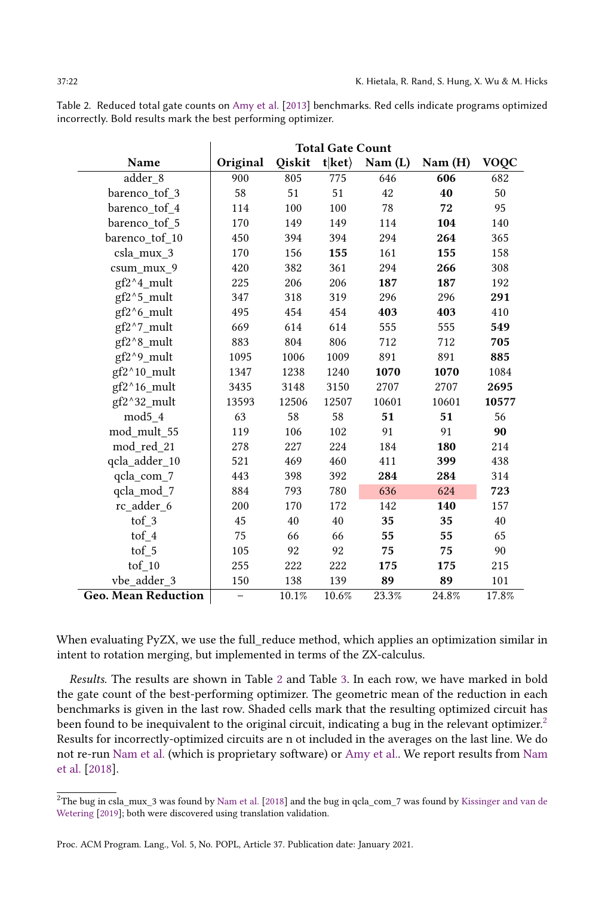<span id="page-21-0"></span>

| Table 2. Reduced total gate counts on Amy et al. [2013] benchmarks. Red cells indicate programs optimized |  |  |
|-----------------------------------------------------------------------------------------------------------|--|--|
| incorrectly. Bold results mark the best performing optimizer.                                             |  |  |

|                            | <b>Total Gate Count</b> |        |                |         |        |             |
|----------------------------|-------------------------|--------|----------------|---------|--------|-------------|
| Name                       | Original                | Qiskit | $t ket\rangle$ | Nam (L) | Nam(H) | <b>VOQC</b> |
| adder 8                    | 900                     | 805    | 775            | 646     | 606    | 682         |
| barenco tof 3              | 58                      | 51     | 51             | 42      | 40     | 50          |
| barenco tof 4              | 114                     | 100    | 100            | 78      | 72     | 95          |
| barenco tof 5              | 170                     | 149    | 149            | 114     | 104    | 140         |
| barenco tof 10             | 450                     | 394    | 394            | 294     | 264    | 365         |
| csla_mux_3                 | 170                     | 156    | 155            | 161     | 155    | 158         |
| csum mux 9                 | 420                     | 382    | 361            | 294     | 266    | 308         |
| $gf2^4$ mult               | 225                     | 206    | 206            | 187     | 187    | 192         |
| gf2^5_mult                 | 347                     | 318    | 319            | 296     | 296    | 291         |
| gf2^6_mult                 | 495                     | 454    | 454            | 403     | 403    | 410         |
| gf2^7_mult                 | 669                     | 614    | 614            | 555     | 555    | 549         |
| gf2^8 mult                 | 883                     | 804    | 806            | 712     | 712    | 705         |
| gf2^9_mult                 | 1095                    | 1006   | 1009           | 891     | 891    | 885         |
| $gf2^{\wedge}10$ _mult     | 1347                    | 1238   | 1240           | 1070    | 1070   | 1084        |
| gf2^16_mult                | 3435                    | 3148   | 3150           | 2707    | 2707   | 2695        |
| gf2^32_mult                | 13593                   | 12506  | 12507          | 10601   | 10601  | 10577       |
| mod5 4                     | 63                      | 58     | 58             | 51      | 51     | 56          |
| mod mult 55                | 119                     | 106    | 102            | 91      | 91     | 90          |
| mod red 21                 | 278                     | 227    | 224            | 184     | 180    | 214         |
| qcla_adder_10              | 521                     | 469    | 460            | 411     | 399    | 438         |
| qcla_com_7                 | 443                     | 398    | 392            | 284     | 284    | 314         |
| qcla_mod_7                 | 884                     | 793    | 780            | 636     | 624    | 723         |
| rc adder 6                 | 200                     | 170    | 172            | 142     | 140    | 157         |
| tof 3                      | 45                      | 40     | 40             | 35      | 35     | 40          |
| tof 4                      | 75                      | 66     | 66             | 55      | 55     | 65          |
| tof 5                      | 105                     | 92     | 92             | 75      | 75     | 90          |
| $\mathrm{tof\_10}$         | 255                     | 222    | 222            | 175     | 175    | 215         |
| vbe adder 3                | 150                     | 138    | 139            | 89      | 89     | 101         |
| <b>Geo. Mean Reduction</b> | -                       | 10.1%  | 10.6%          | 23.3%   | 24.8%  | 17.8%       |

When evaluating PyZX, we use the full\_reduce method, which applies an optimization similar in intent to rotation merging, but implemented in terms of the ZX-calculus.

Results. The results are shown in Table [2](#page-21-0) and Table [3.](#page-22-0) In each row, we have marked in bold the gate count of the best-performing optimizer. The geometric mean of the reduction in each benchmarks is given in the last row. Shaded cells mark that the resulting optimized circuit has been found to be inequivalent to the original circuit, indicating a bug in the relevant optimizer.<sup>[2](#page-21-1)</sup> Results for incorrectly-optimized circuits are n ot included in the averages on the last line. We do not re-run [Nam et al.](#page-27-1) (which is proprietary software) or [Amy et al..](#page-26-0) We report results from [Nam](#page-27-1) [et al.](#page-27-1) [\[2018\]](#page-27-1).

<span id="page-21-1"></span> $2$ The bug in csla\_mux\_3 was found by [Nam et al.](#page-27-1) [\[2018\]](#page-27-1) and the bug in qcla\_com\_7 was found by [Kissinger and van de](#page-27-16) [Wetering](#page-27-16) [\[2019\]](#page-27-16); both were discovered using translation validation.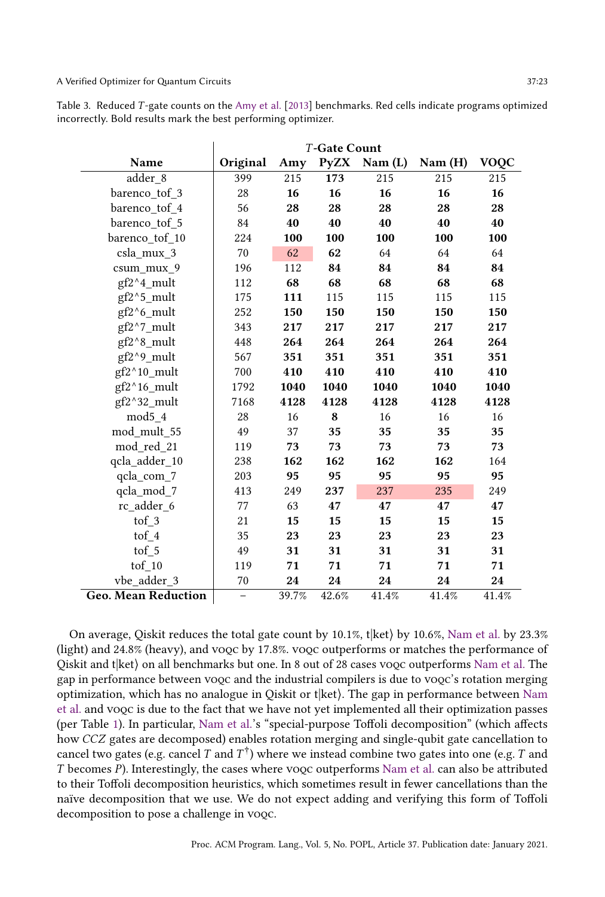<span id="page-22-0"></span>Table 3. Reduced T -gate counts on the [Amy et al.](#page-26-0) [\[2013\]](#page-26-0) benchmarks. Red cells indicate programs optimized incorrectly. Bold results mark the best performing optimizer.

|                            | <b>T-Gate Count</b>      |       |       |                             |        |             |
|----------------------------|--------------------------|-------|-------|-----------------------------|--------|-------------|
| Name                       | Original                 | Amy   |       | $PyZX \quad \text{Nam (L)}$ | Nam(H) | <b>VOQC</b> |
| adder_8                    | 399                      | 215   | 173   | 215                         | 215    | 215         |
| barenco tof 3              | 28                       | 16    | 16    | 16                          | 16     | 16          |
| barenco tof 4              | 56                       | 28    | 28    | 28                          | 28     | 28          |
| barenco tof 5              | 84                       | 40    | 40    | 40                          | 40     | 40          |
| barenco tof 10             | 224                      | 100   | 100   | 100                         | 100    | 100         |
| csla_mux_3                 | 70                       | 62    | 62    | 64                          | 64     | 64          |
| csum_mux_9                 | 196                      | 112   | 84    | 84                          | 84     | 84          |
| gf2^4_mult                 | 112                      | 68    | 68    | 68                          | 68     | 68          |
| gf2^5_mult                 | 175                      | 111   | 115   | 115                         | 115    | 115         |
| gf2^6_mult                 | 252                      | 150   | 150   | 150                         | 150    | 150         |
| gf2^7_mult                 | 343                      | 217   | 217   | 217                         | 217    | 217         |
| gf2^8_mult                 | 448                      | 264   | 264   | 264                         | 264    | 264         |
| gf2^9_mult                 | 567                      | 351   | 351   | 351                         | 351    | 351         |
| gf2^10_mult                | 700                      | 410   | 410   | 410                         | 410    | 410         |
| gf2^16_mult                | 1792                     | 1040  | 1040  | 1040                        | 1040   | 1040        |
| gf2^32_mult                | 7168                     | 4128  | 4128  | 4128                        | 4128   | 4128        |
| mod <sub>5</sub> 4         | 28                       | 16    | 8     | 16                          | 16     | 16          |
| mod mult 55                | 49                       | 37    | 35    | 35                          | 35     | 35          |
| mod red 21                 | 119                      | 73    | 73    | 73                          | 73     | 73          |
| qcla adder 10              | 238                      | 162   | 162   | 162                         | 162    | 164         |
| qcla_com_7                 | 203                      | 95    | 95    | 95                          | 95     | 95          |
| qcla_mod_7                 | 413                      | 249   | 237   | 237                         | 235    | 249         |
| rc adder 6                 | 77                       | 63    | 47    | 47                          | 47     | 47          |
| $\operatorname{tof}$ 3     | 21                       | 15    | 15    | 15                          | 15     | 15          |
| tof $4$                    | 35                       | 23    | 23    | 23                          | 23     | 23          |
| $\operatorname{tof}$ 5     | 49                       | 31    | 31    | 31                          | 31     | 31          |
| $\mathrm{tof\_10}$         | 119                      | 71    | 71    | 71                          | 71     | 71          |
| vbe adder 3                | 70                       | 24    | 24    | 24                          | 24     | 24          |
| <b>Geo. Mean Reduction</b> | $\overline{\phantom{0}}$ | 39.7% | 42.6% | 41.4%                       | 41.4%  | 41.4%       |

On average, Qiskit reduces the total gate count by  $10.1\%$ , t $|$ ket $\rangle$  by  $10.6\%$ , [Nam et al.](#page-27-1) by 23.3% (light) and 24.8% (heavy), and voqc by 17.8%. voqc outperforms or matches the performance of Qiskit and t $|$ ket $\rangle$  on all benchmarks but one. In 8 out of 28 cases vooc outperforms [Nam et al.](#page-27-1) The gap in performance between voqc and the industrial compilers is due to voqc's rotation merging optimization, which has no analogue in Qiskit or t $|$ ket $\rangle$ . The gap in performance between [Nam](#page-27-1) [et al.](#page-27-1) and voqc is due to the fact that we have not yet implemented all their optimization passes (per Table [1\)](#page-20-0). In particular, [Nam et al.'](#page-27-1)s "special-purpose Toffoli decomposition" (which affects how CCZ gates are decomposed) enables rotation merging and single-qubit gate cancellation to cancel two gates (e.g. cancel  $T$  and  $T^\dagger)$  where we instead combine two gates into one (e.g.  $T$  and T becomes P). Interestingly, the cases where voqc outperforms [Nam et al.](#page-27-1) can also be attributed to their Toffoli decomposition heuristics, which sometimes result in fewer cancellations than the naïve decomposition that we use. We do not expect adding and verifying this form of Toffoli decomposition to pose a challenge in vooc.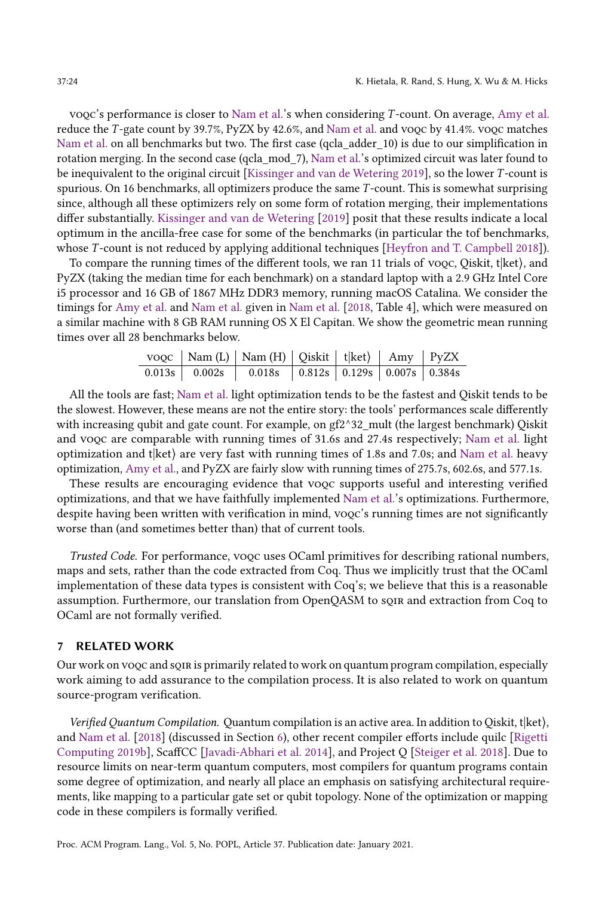voqc's performance is closer to [Nam et al.'](#page-27-1)s when considering T -count. On average, [Amy et al.](#page-26-0) reduce the T -gate count by 39.7%, PyZX by 42.6%, and [Nam et al.](#page-27-1) and voqc by 41.4%. voqc matches [Nam et al.](#page-27-1) on all benchmarks but two. The first case (qcla\_adder\_10) is due to our simplification in rotation merging. In the second case (qcla\_mod\_7), [Nam et al.'](#page-27-1)s optimized circuit was later found to be inequivalent to the original circuit [\[Kissinger and van de Wetering 2019\]](#page-27-16), so the lower T -count is spurious. On 16 benchmarks, all optimizers produce the same T -count. This is somewhat surprising since, although all these optimizers rely on some form of rotation merging, their implementations differ substantially. [Kissinger and van de Wetering](#page-27-16) [\[2019\]](#page-27-16) posit that these results indicate a local optimum in the ancilla-free case for some of the benchmarks (in particular the tof benchmarks, whose T-count is not reduced by applying additional techniques [\[Heyfron and T. Campbell 2018\]](#page-27-17)).

To compare the running times of the different tools, we ran 11 trials of voog, Qiskit, t $\ket{\text{ket}}$ , and PyZX (taking the median time for each benchmark) on a standard laptop with a 2.9 GHz Intel Core i5 processor and 16 GB of 1867 MHz DDR3 memory, running macOS Catalina. We consider the timings for [Amy et al.](#page-26-0) and [Nam et al.](#page-27-1) given in [Nam et al.](#page-27-1) [\[2018,](#page-27-1) Table 4], which were measured on a similar machine with 8 GB RAM running OS X El Capitan. We show the geometric mean running times over all 28 benchmarks below.

|  | $\text{vogc}$   Nam (L)   Nam (H)   Qiskit   t ket $\rangle$   Amy   PyZX  |  |  |
|--|----------------------------------------------------------------------------|--|--|
|  | $0.013s$   $0.002s$   $0.018s$   $0.812s$   $0.129s$   $0.007s$   $0.384s$ |  |  |

All the tools are fast; [Nam et al.](#page-27-1) light optimization tends to be the fastest and Qiskit tends to be the slowest. However, these means are not the entire story: the tools' performances scale differently with increasing qubit and gate count. For example, on gf2^32\_mult (the largest benchmark) Oiskit and voqc are comparable with running times of 31.6s and 27.4s respectively; [Nam et al.](#page-27-1) light optimization and  $t$ <sup> $\vert$ </sup>ket $\rangle$  are very fast with running times of 1.8s and 7.0s; and [Nam et al.](#page-27-1) heavy optimization, [Amy et al.,](#page-26-0) and PyZX are fairly slow with running times of 275.7s, 602.6s, and 577.1s.

These results are encouraging evidence that voqc supports useful and interesting verified optimizations, and that we have faithfully implemented [Nam et al.'](#page-27-1)s optimizations. Furthermore, despite having been written with verification in mind, voqc's running times are not significantly worse than (and sometimes better than) that of current tools.

Trusted Code. For performance, voqc uses OCaml primitives for describing rational numbers, maps and sets, rather than the code extracted from Coq. Thus we implicitly trust that the OCaml implementation of these data types is consistent with Coq's; we believe that this is a reasonable assumption. Furthermore, our translation from OpenQASM to sqir and extraction from Coq to OCaml are not formally verified.

#### <span id="page-23-0"></span>7 RELATED WORK

Our work on voqc and sqir is primarily related to work on quantum program compilation, especially work aiming to add assurance to the compilation process. It is also related to work on quantum source-program verification.

Verified Quantum Compilation. Quantum compilation is an active area. In addition to Qiskit, t|ket⟩, and [Nam et al.](#page-27-1) [\[2018\]](#page-27-1) (discussed in Section [6\)](#page-19-0), other recent compiler efforts include quilc [\[Rigetti](#page-28-18) [Computing 2019b\]](#page-28-18), ScaffCC [\[Javadi-Abhari et al.](#page-27-18) [2014\]](#page-27-18), and Project Q [\[Steiger et al.](#page-28-9) [2018\]](#page-28-9). Due to resource limits on near-term quantum computers, most compilers for quantum programs contain some degree of optimization, and nearly all place an emphasis on satisfying architectural requirements, like mapping to a particular gate set or qubit topology. None of the optimization or mapping code in these compilers is formally verified.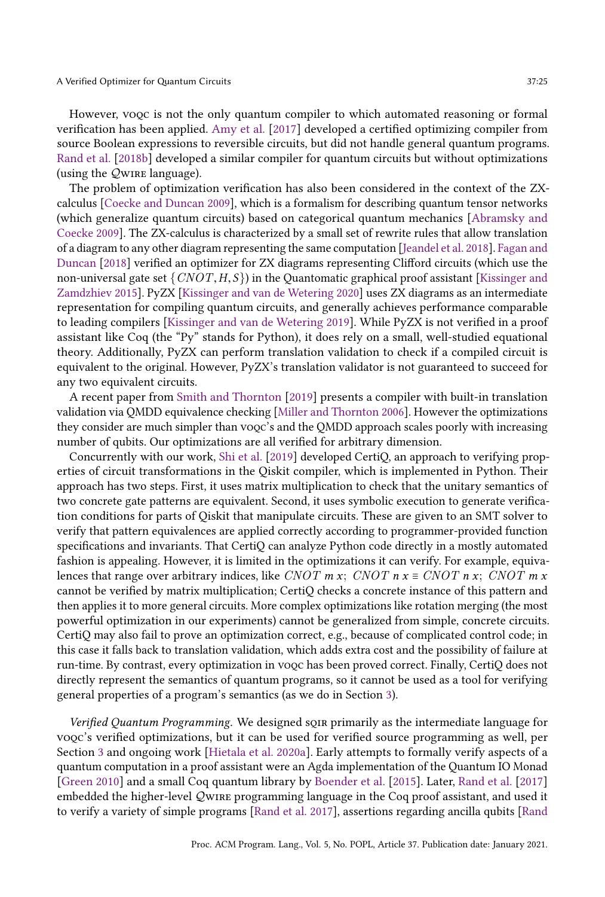However, voqc is not the only quantum compiler to which automated reasoning or formal verification has been applied. [Amy et al.](#page-26-7) [\[2017\]](#page-26-7) developed a certified optimizing compiler from source Boolean expressions to reversible circuits, but did not handle general quantum programs. [Rand et al.](#page-27-19) [\[2018b\]](#page-27-19) developed a similar compiler for quantum circuits but without optimizations (using the  $Q$ WIRE language).

The problem of optimization verification has also been considered in the context of the ZXcalculus [\[Coecke and Duncan 2009\]](#page-26-11), which is a formalism for describing quantum tensor networks (which generalize quantum circuits) based on categorical quantum mechanics [\[Abramsky and](#page-26-12) [Coecke 2009\]](#page-26-12). The ZX-calculus is characterized by a small set of rewrite rules that allow translation of a diagram to any other diagram representing the same computation [\[Jeandel et al.](#page-27-20) [2018\]](#page-27-20). [Fagan and](#page-26-8) [Duncan](#page-26-8) [\[2018\]](#page-26-8) verified an optimizer for ZX diagrams representing Clifford circuits (which use the non-universal gate set  $\{CNOT, H, S\}$  in the Quantomatic graphical proof assistant [\[Kissinger and](#page-27-21) [Zamdzhiev 2015\]](#page-27-21). PyZX [\[Kissinger and van de Wetering 2020\]](#page-27-0) uses ZX diagrams as an intermediate representation for compiling quantum circuits, and generally achieves performance comparable to leading compilers [\[Kissinger and van de Wetering 2019\]](#page-27-16). While PyZX is not verified in a proof assistant like Coq (the "Py" stands for Python), it does rely on a small, well-studied equational theory. Additionally, PyZX can perform translation validation to check if a compiled circuit is equivalent to the original. However, PyZX's translation validator is not guaranteed to succeed for any two equivalent circuits.

A recent paper from [Smith and Thornton](#page-28-8) [\[2019\]](#page-28-8) presents a compiler with built-in translation validation via QMDD equivalence checking [\[Miller and Thornton 2006\]](#page-27-10). However the optimizations they consider are much simpler than voqc's and the QMDD approach scales poorly with increasing number of qubits. Our optimizations are all verified for arbitrary dimension.

Concurrently with our work, [Shi et al.](#page-28-7) [\[2019\]](#page-28-7) developed CertiQ, an approach to verifying properties of circuit transformations in the Qiskit compiler, which is implemented in Python. Their approach has two steps. First, it uses matrix multiplication to check that the unitary semantics of two concrete gate patterns are equivalent. Second, it uses symbolic execution to generate verification conditions for parts of Qiskit that manipulate circuits. These are given to an SMT solver to verify that pattern equivalences are applied correctly according to programmer-provided function specifications and invariants. That CertiQ can analyze Python code directly in a mostly automated fashion is appealing. However, it is limited in the optimizations it can verify. For example, equivalences that range over arbitrary indices, like CNOT m x; CNOT n x ≡ CNOT n x; CNOT m x cannot be verified by matrix multiplication; CertiQ checks a concrete instance of this pattern and then applies it to more general circuits. More complex optimizations like rotation merging (the most powerful optimization in our experiments) cannot be generalized from simple, concrete circuits. CertiQ may also fail to prove an optimization correct, e.g., because of complicated control code; in this case it falls back to translation validation, which adds extra cost and the possibility of failure at run-time. By contrast, every optimization in voqc has been proved correct. Finally, CertiQ does not directly represent the semantics of quantum programs, so it cannot be used as a tool for verifying general properties of a program's semantics (as we do in Section [3\)](#page-6-0).

Verified Quantum Programming. We designed sQIR primarily as the intermediate language for voqc's verified optimizations, but it can be used for verified source programming as well, per Section [3](#page-6-0) and ongoing work [\[Hietala et al.](#page-27-7) [2020a\]](#page-27-7). Early attempts to formally verify aspects of a quantum computation in a proof assistant were an Agda implementation of the Quantum IO Monad [\[Green 2010\]](#page-27-22) and a small Coq quantum library by [Boender et al.](#page-26-13) [\[2015\]](#page-26-13). Later, [Rand et al.](#page-28-11) [\[2017\]](#page-28-11) embedded the higher-level Qwire programming language in the Coq proof assistant, and used it to verify a variety of simple programs [\[Rand et al.](#page-28-11) [2017\]](#page-28-11), assertions regarding ancilla qubits [\[Rand](#page-27-19)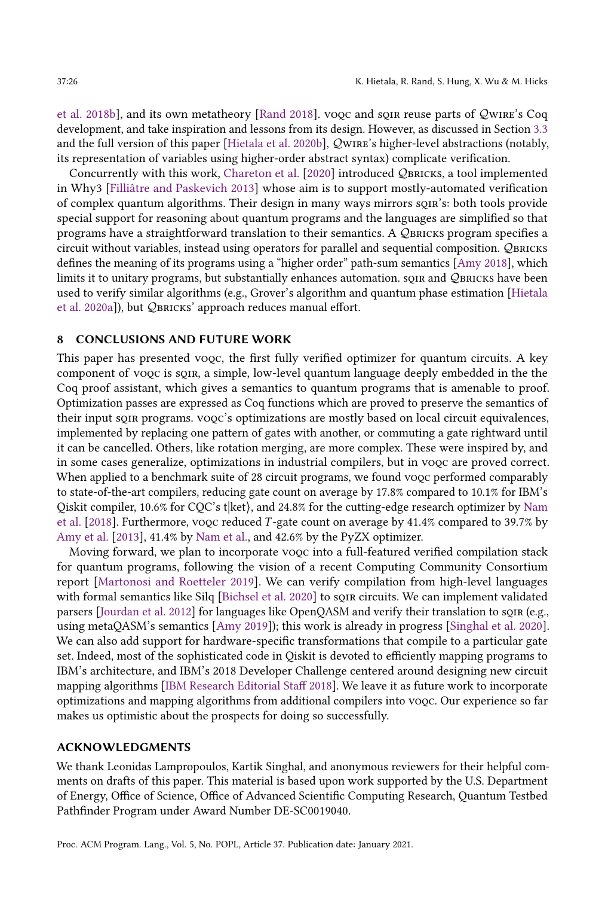[et al.](#page-27-19) [2018b\]](#page-27-19), and its own metatheory [\[Rand 2018\]](#page-27-12). voqc and sqir reuse parts of Qwire's Coq development, and take inspiration and lessons from its design. However, as discussed in Section [3.3](#page-8-0) and the full version of this paper [\[Hietala et al.](#page-27-9) [2020b\]](#page-27-9), wire's higher-level abstractions (notably, its representation of variables using higher-order abstract syntax) complicate verification.

Concurrently with this work, [Chareton et al.](#page-26-14) [\[2020\]](#page-26-14) introduced QBRICKS, a tool implemented in Why3 [\[Filliâtre and Paskevich 2013\]](#page-26-15) whose aim is to support mostly-automated verification of complex quantum algorithms. Their design in many ways mirrors sqir's: both tools provide special support for reasoning about quantum programs and the languages are simplified so that programs have a straightforward translation to their semantics. A  $\mathcal Q$  bricks program specifies a circuit without variables, instead using operators for parallel and sequential composition. QBRICKS defines the meaning of its programs using a "higher order" path-sum semantics [\[Amy 2018\]](#page-26-1), which limits it to unitary programs, but substantially enhances automation. son and QBRICKS have been used to verify similar algorithms (e.g., Grover's algorithm and quantum phase estimation [\[Hietala](#page-27-7) [et al. 2020a\]](#page-27-7)), but QBRICKS' approach reduces manual effort.

# 8 CONCLUSIONS AND FUTURE WORK

This paper has presented voqc, the first fully verified optimizer for quantum circuits. A key component of voqc is sqir, a simple, low-level quantum language deeply embedded in the the Coq proof assistant, which gives a semantics to quantum programs that is amenable to proof. Optimization passes are expressed as Coq functions which are proved to preserve the semantics of their input soir programs. vooc's optimizations are mostly based on local circuit equivalences, implemented by replacing one pattern of gates with another, or commuting a gate rightward until it can be cancelled. Others, like rotation merging, are more complex. These were inspired by, and in some cases generalize, optimizations in industrial compilers, but in voqc are proved correct. When applied to a benchmark suite of 28 circuit programs, we found vooc performed comparably to state-of-the-art compilers, reducing gate count on average by 17.8% compared to 10.1% for IBM's Qiskit compiler, 10.6% for CQC's t $|$ ket $\rangle$ , and 24.8% for the cutting-edge research optimizer by [Nam](#page-27-1) [et al.](#page-27-1) [\[2018\]](#page-27-1). Furthermore, voqc reduced T -gate count on average by 41.4% compared to 39.7% by [Amy et al.](#page-26-0) [\[2013\]](#page-26-0), 41.4% by [Nam et al.,](#page-27-1) and 42.6% by the PyZX optimizer.

Moving forward, we plan to incorporate voqc into a full-featured verified compilation stack for quantum programs, following the vision of a recent Computing Community Consortium report [\[Martonosi and Roetteler 2019\]](#page-27-23). We can verify compilation from high-level languages with formal semantics like Silq [\[Bichsel et al.](#page-26-16) [2020\]](#page-26-16) to sque circuits. We can implement validated parsers [\[Jourdan et al.](#page-27-24) [2012\]](#page-27-24) for languages like OpenQASM and verify their translation to son (e.g., using metaQASM's semantics [\[Amy 2019\]](#page-26-17)); this work is already in progress [\[Singhal et al.](#page-28-19) [2020\]](#page-28-19). We can also add support for hardware-specific transformations that compile to a particular gate set. Indeed, most of the sophisticated code in Qiskit is devoted to efficiently mapping programs to IBM's architecture, and IBM's 2018 Developer Challenge centered around designing new circuit mapping algorithms [\[IBM Research Editorial Staff 2018\]](#page-27-25). We leave it as future work to incorporate optimizations and mapping algorithms from additional compilers into voqc. Our experience so far makes us optimistic about the prospects for doing so successfully.

#### ACKNOWLEDGMENTS

We thank Leonidas Lampropoulos, Kartik Singhal, and anonymous reviewers for their helpful comments on drafts of this paper. This material is based upon work supported by the U.S. Department of Energy, Office of Science, Office of Advanced Scientific Computing Research, Quantum Testbed Pathfinder Program under Award Number DE-SC0019040.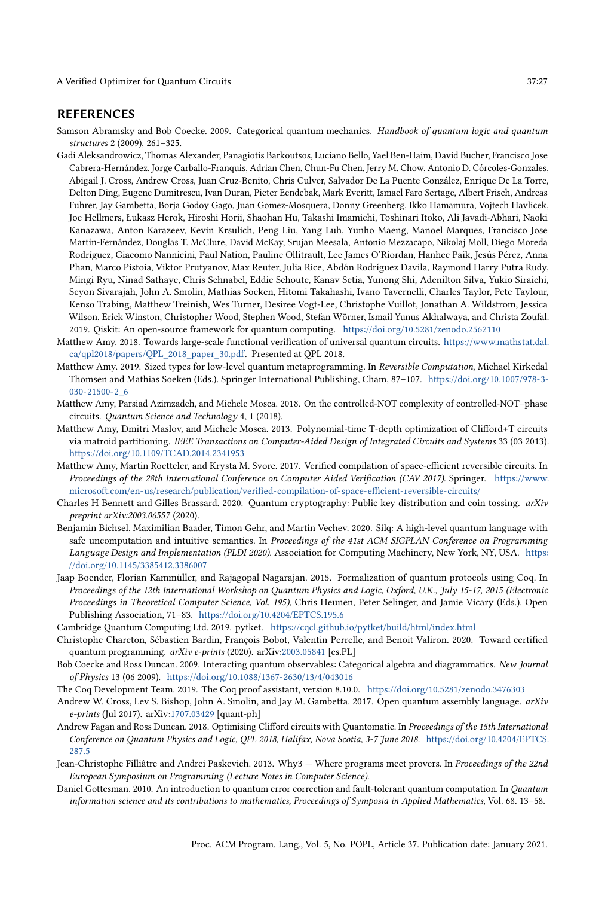#### REFERENCES

<span id="page-26-12"></span>Samson Abramsky and Bob Coecke. 2009. Categorical quantum mechanics. Handbook of quantum logic and quantum structures 2 (2009), 261-325.

- <span id="page-26-5"></span>Gadi Aleksandrowicz, Thomas Alexander, Panagiotis Barkoutsos, Luciano Bello, Yael Ben-Haim, David Bucher, Francisco Jose Cabrera-Hernández, Jorge Carballo-Franquis, Adrian Chen, Chun-Fu Chen, Jerry M. Chow, Antonio D. Córcoles-Gonzales, Abigail J. Cross, Andrew Cross, Juan Cruz-Benito, Chris Culver, Salvador De La Puente González, Enrique De La Torre, Delton Ding, Eugene Dumitrescu, Ivan Duran, Pieter Eendebak, Mark Everitt, Ismael Faro Sertage, Albert Frisch, Andreas Fuhrer, Jay Gambetta, Borja Godoy Gago, Juan Gomez-Mosquera, Donny Greenberg, Ikko Hamamura, Vojtech Havlicek, Joe Hellmers, Łukasz Herok, Hiroshi Horii, Shaohan Hu, Takashi Imamichi, Toshinari Itoko, Ali Javadi-Abhari, Naoki Kanazawa, Anton Karazeev, Kevin Krsulich, Peng Liu, Yang Luh, Yunho Maeng, Manoel Marques, Francisco Jose Martín-Fernández, Douglas T. McClure, David McKay, Srujan Meesala, Antonio Mezzacapo, Nikolaj Moll, Diego Moreda Rodríguez, Giacomo Nannicini, Paul Nation, Pauline Ollitrault, Lee James O'Riordan, Hanhee Paik, Jesús Pérez, Anna Phan, Marco Pistoia, Viktor Prutyanov, Max Reuter, Julia Rice, Abdón Rodríguez Davila, Raymond Harry Putra Rudy, Mingi Ryu, Ninad Sathaye, Chris Schnabel, Eddie Schoute, Kanav Setia, Yunong Shi, Adenilton Silva, Yukio Siraichi, Seyon Sivarajah, John A. Smolin, Mathias Soeken, Hitomi Takahashi, Ivano Tavernelli, Charles Taylor, Pete Taylour, Kenso Trabing, Matthew Treinish, Wes Turner, Desiree Vogt-Lee, Christophe Vuillot, Jonathan A. Wildstrom, Jessica Wilson, Erick Winston, Christopher Wood, Stephen Wood, Stefan Wörner, Ismail Yunus Akhalwaya, and Christa Zoufal. 2019. Qiskit: An open-source framework for quantum computing. <https://doi.org/10.5281/zenodo.2562110>
- <span id="page-26-1"></span>Matthew Amy. 2018. Towards large-scale functional verification of universal quantum circuits. [https://www.mathstat.dal.](https://www.mathstat.dal.ca/qpl2018/papers/QPL_2018_paper_30.pdf) [ca/qpl2018/papers/QPL\\_2018\\_paper\\_30.pdf.](https://www.mathstat.dal.ca/qpl2018/papers/QPL_2018_paper_30.pdf) Presented at QPL 2018.
- <span id="page-26-17"></span>Matthew Amy. 2019. Sized types for low-level quantum metaprogramming. In Reversible Computation, Michael Kirkedal Thomsen and Mathias Soeken (Eds.). Springer International Publishing, Cham, 87-107. [https://doi.org/10.1007/978-3-](https://doi.org/10.1007/978-3-030-21500-2_6) [030-21500-2\\_6](https://doi.org/10.1007/978-3-030-21500-2_6)
- <span id="page-26-2"></span>Matthew Amy, Parsiad Azimzadeh, and Michele Mosca. 2018. On the controlled-NOT complexity of controlled-NOT-phase circuits. Quantum Science and Technology 4, 1 (2018).
- <span id="page-26-0"></span>Matthew Amy, Dmitri Maslov, and Michele Mosca. 2013. Polynomial-time T-depth optimization of Clifford+T circuits via matroid partitioning. IEEE Transactions on Computer-Aided Design of Integrated Circuits and Systems 33 (03 2013). <https://doi.org/10.1109/TCAD.2014.2341953>
- <span id="page-26-7"></span>Matthew Amy, Martin Roetteler, and Krysta M. Svore. 2017. Verified compilation of space-efficient reversible circuits. In Proceedings of the 28th International Conference on Computer Aided Verification (CAV 2017). Springer. [https://www.](https://www.microsoft.com/en-us/research/publication/verified-compilation-of-space-efficient-reversible-circuits/) [microsoft.com/en-us/research/publication/verified-compilation-of-space-efficient-reversible-circuits/](https://www.microsoft.com/en-us/research/publication/verified-compilation-of-space-efficient-reversible-circuits/)
- <span id="page-26-9"></span>Charles H Bennett and Gilles Brassard. 2020. Quantum cryptography: Public key distribution and coin tossing. arXiv preprint arXiv:2003.06557 (2020).
- <span id="page-26-16"></span>Benjamin Bichsel, Maximilian Baader, Timon Gehr, and Martin Vechev. 2020. Silq: A high-level quantum language with safe uncomputation and intuitive semantics. In Proceedings of the 41st ACM SIGPLAN Conference on Programming Language Design and Implementation (PLDI 2020). Association for Computing Machinery, New York, NY, USA. [https:](https://doi.org/10.1145/3385412.3386007) [//doi.org/10.1145/3385412.3386007](https://doi.org/10.1145/3385412.3386007)
- <span id="page-26-13"></span>Jaap Boender, Florian Kammüller, and Rajagopal Nagarajan. 2015. Formalization of quantum protocols using Coq. In Proceedings of the 12th International Workshop on Quantum Physics and Logic, Oxford, U.K., July 15-17, 2015 (Electronic Proceedings in Theoretical Computer Science, Vol. 195), Chris Heunen, Peter Selinger, and Jamie Vicary (Eds.). Open Publishing Association, 71-83. <https://doi.org/10.4204/EPTCS.195.6>
- <span id="page-26-6"></span>Cambridge Quantum Computing Ltd. 2019. pytket. <https://cqcl.github.io/pytket/build/html/index.html>
- <span id="page-26-14"></span>Christophe Chareton, Sébastien Bardin, François Bobot, Valentin Perrelle, and Benoit Valiron. 2020. Toward certified quantum programming. arXiv e-prints (2020). arXiv[:2003.05841](https://arxiv.org/abs/2003.05841) [cs.PL]
- <span id="page-26-11"></span>Bob Coecke and Ross Duncan. 2009. Interacting quantum observables: Categorical algebra and diagrammatics. New Journal of Physics 13 (06 2009). <https://doi.org/10.1088/1367-2630/13/4/043016>
- <span id="page-26-3"></span>The Coq Development Team. 2019. The Coq proof assistant, version 8.10.0. <https://doi.org/10.5281/zenodo.3476303>
- <span id="page-26-4"></span>Andrew W. Cross, Lev S. Bishop, John A. Smolin, and Jay M. Gambetta. 2017. Open quantum assembly language. arXiv e-prints (Jul 2017). arXiv[:1707.03429](https://arxiv.org/abs/1707.03429) [quant-ph]
- <span id="page-26-8"></span>Andrew Fagan and Ross Duncan. 2018. Optimising Clifford circuits with Quantomatic. In Proceedings of the 15th International Conference on Quantum Physics and Logic, QPL 2018, Halifax, Nova Scotia, 3-7 June 2018. [https://doi.org/10.4204/EPTCS.](https://doi.org/10.4204/EPTCS.287.5) [287.5](https://doi.org/10.4204/EPTCS.287.5)
- <span id="page-26-15"></span>Jean-Christophe Filliâtre and Andrei Paskevich. 2013. Why3 - Where programs meet provers. In Proceedings of the 22nd European Symposium on Programming (Lecture Notes in Computer Science).
- <span id="page-26-10"></span>Daniel Gottesman. 2010. An introduction to quantum error correction and fault-tolerant quantum computation. In Quantum information science and its contributions to mathematics, Proceedings of Symposia in Applied Mathematics, Vol. 68. 13-58.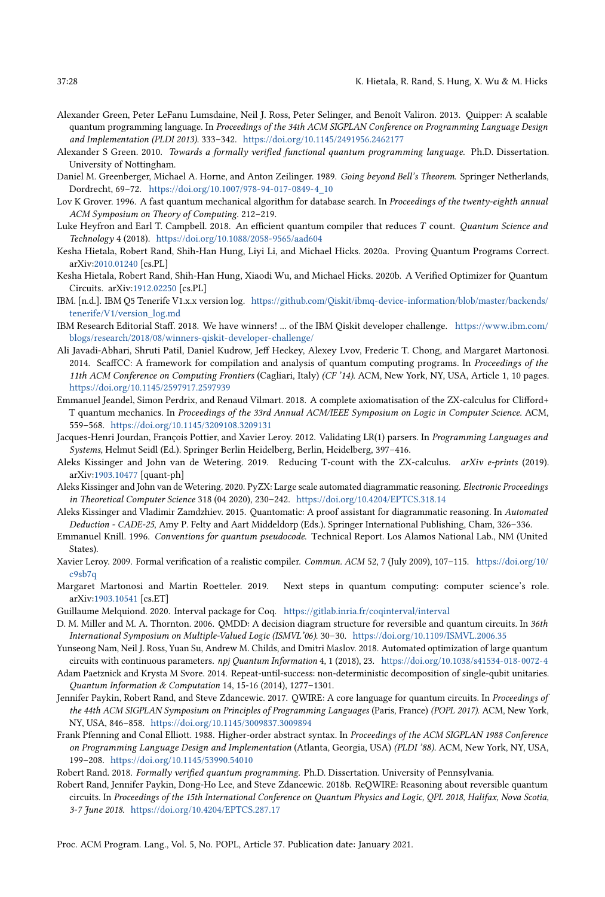- <span id="page-27-5"></span>Alexander Green, Peter LeFanu Lumsdaine, Neil J. Ross, Peter Selinger, and Benoît Valiron. 2013. Quipper: A scalable quantum programming language. In Proceedings of the 34th ACM SIGPLAN Conference on Programming Language Design and Implementation (PLDI 2013). 333-342. <https://doi.org/10.1145/2491956.2462177>
- <span id="page-27-22"></span>Alexander S Green. 2010. Towards a formally verified functional quantum programming language. Ph.D. Dissertation. University of Nottingham.
- <span id="page-27-6"></span>Daniel M. Greenberger, Michael A. Horne, and Anton Zeilinger. 1989. Going beyond Bell's Theorem. Springer Netherlands, Dordrecht, 69-72. [https://doi.org/10.1007/978-94-017-0849-4\\_10](https://doi.org/10.1007/978-94-017-0849-4_10)
- <span id="page-27-8"></span>Lov K Grover. 1996. A fast quantum mechanical algorithm for database search. In Proceedings of the twenty-eighth annual ACM Symposium on Theory of Computing. 212-219.
- <span id="page-27-17"></span>Luke Heyfron and Earl T. Campbell. 2018. An efficient quantum compiler that reduces T count. Quantum Science and Technology 4 (2018). <https://doi.org/10.1088/2058-9565/aad604>
- <span id="page-27-7"></span>Kesha Hietala, Robert Rand, Shih-Han Hung, Liyi Li, and Michael Hicks. 2020a. Proving Quantum Programs Correct. arXiv[:2010.01240](https://arxiv.org/abs/2010.01240) [cs.PL]
- <span id="page-27-9"></span>Kesha Hietala, Robert Rand, Shih-Han Hung, Xiaodi Wu, and Michael Hicks. 2020b. A Verified Optimizer for Quantum Circuits. arXiv[:1912.02250](https://arxiv.org/abs/1912.02250) [cs.PL]
- <span id="page-27-14"></span>IBM. [n.d.]. IBM Q5 Tenerife V1.x.x version log. [https://github.com/Qiskit/ibmq-device-information/blob/master/backends/](https://github.com/Qiskit/ibmq-device-information/blob/master/backends/tenerife/V1/version_log.md) [tenerife/V1/version\\_log.md](https://github.com/Qiskit/ibmq-device-information/blob/master/backends/tenerife/V1/version_log.md)
- <span id="page-27-25"></span>IBM Research Editorial Staff. 2018. We have winners! ... of the IBM Qiskit developer challenge. [https://www.ibm.com/](https://www.ibm.com/blogs/research/2018/08/winners-qiskit-developer-challenge/) [blogs/research/2018/08/winners-qiskit-developer-challenge/](https://www.ibm.com/blogs/research/2018/08/winners-qiskit-developer-challenge/)
- <span id="page-27-18"></span>Ali Javadi-Abhari, Shruti Patil, Daniel Kudrow, Jeff Heckey, Alexey Lvov, Frederic T. Chong, and Margaret Martonosi. 2014. ScaffCC: A framework for compilation and analysis of quantum computing programs. In Proceedings of the 11th ACM Conference on Computing Frontiers (Cagliari, Italy) (CF '14). ACM, New York, NY, USA, Article 1, 10 pages. <https://doi.org/10.1145/2597917.2597939>
- <span id="page-27-20"></span>Emmanuel Jeandel, Simon Perdrix, and Renaud Vilmart. 2018. A complete axiomatisation of the ZX-calculus for Clifford+ T quantum mechanics. In Proceedings of the 33rd Annual ACM/IEEE Symposium on Logic in Computer Science. ACM, 559-568. <https://doi.org/10.1145/3209108.3209131>
- <span id="page-27-24"></span>Jacques-Henri Jourdan, François Pottier, and Xavier Leroy. 2012. Validating LR(1) parsers. In Programming Languages and Systems, Helmut Seidl (Ed.). Springer Berlin Heidelberg, Berlin, Heidelberg, 397-416.
- <span id="page-27-16"></span>Aleks Kissinger and John van de Wetering. 2019. Reducing T-count with the ZX-calculus. arXiv e-prints (2019). arXiv[:1903.10477](https://arxiv.org/abs/1903.10477) [quant-ph]
- <span id="page-27-0"></span>Aleks Kissinger and John van de Wetering. 2020. PyZX: Large scale automated diagrammatic reasoning. Electronic Proceedings in Theoretical Computer Science 318 (04 2020), 230-242. <https://doi.org/10.4204/EPTCS.318.14>
- <span id="page-27-21"></span>Aleks Kissinger and Vladimir Zamdzhiev. 2015. Quantomatic: A proof assistant for diagrammatic reasoning. In Automated Deduction - CADE-25, Amy P. Felty and Aart Middeldorp (Eds.). Springer International Publishing, Cham, 326-336.
- <span id="page-27-11"></span>Emmanuel Knill. 1996. Conventions for quantum pseudocode. Technical Report. Los Alamos National Lab., NM (United States).
- <span id="page-27-2"></span>Xavier Leroy. 2009. Formal verification of a realistic compiler. Commun. ACM 52, 7 (July 2009), 107-115. [https://doi.org/10/](https://doi.org/10/c9sb7q) [c9sb7q](https://doi.org/10/c9sb7q)
- <span id="page-27-23"></span>Margaret Martonosi and Martin Roetteler. 2019. Next steps in quantum computing: computer science's role. arXiv[:1903.10541](https://arxiv.org/abs/1903.10541) [cs.ET]
- <span id="page-27-13"></span><span id="page-27-10"></span>Guillaume Melquiond. 2020. Interval package for Coq. <https://gitlab.inria.fr/coqinterval/interval>
- D. M. Miller and M. A. Thornton. 2006. QMDD: A decision diagram structure for reversible and quantum circuits. In 36th International Symposium on Multiple-Valued Logic (ISMVL'06). 30-30. <https://doi.org/10.1109/ISMVL.2006.35>
- <span id="page-27-1"></span>Yunseong Nam, Neil J. Ross, Yuan Su, Andrew M. Childs, and Dmitri Maslov. 2018. Automated optimization of large quantum circuits with continuous parameters. npj Quantum Information 4, 1 (2018), 23. <https://doi.org/10.1038/s41534-018-0072-4>
- <span id="page-27-15"></span>Adam Paetznick and Krysta M Svore. 2014. Repeat-until-success: non-deterministic decomposition of single-qubit unitaries. Quantum Information & Computation 14, 15-16 (2014), 1277-1301.
- <span id="page-27-3"></span>Jennifer Paykin, Robert Rand, and Steve Zdancewic. 2017. QWIRE: A core language for quantum circuits. In Proceedings of the 44th ACM SIGPLAN Symposium on Principles of Programming Languages (Paris, France) (POPL 2017). ACM, New York, NY, USA, 846-858. <https://doi.org/10.1145/3009837.3009894>
- <span id="page-27-4"></span>Frank Pfenning and Conal Elliott. 1988. Higher-order abstract syntax. In Proceedings of the ACM SIGPLAN 1988 Conference on Programming Language Design and Implementation (Atlanta, Georgia, USA) (PLDI '88). ACM, New York, NY, USA, 199-208. <https://doi.org/10.1145/53990.54010>
- <span id="page-27-12"></span>Robert Rand. 2018. Formally verified quantum programming. Ph.D. Dissertation. University of Pennsylvania.
- <span id="page-27-19"></span>Robert Rand, Jennifer Paykin, Dong-Ho Lee, and Steve Zdancewic. 2018b. ReQWIRE: Reasoning about reversible quantum circuits. In Proceedings of the 15th International Conference on Quantum Physics and Logic, QPL 2018, Halifax, Nova Scotia, 3-7 June 2018. <https://doi.org/10.4204/EPTCS.287.17>